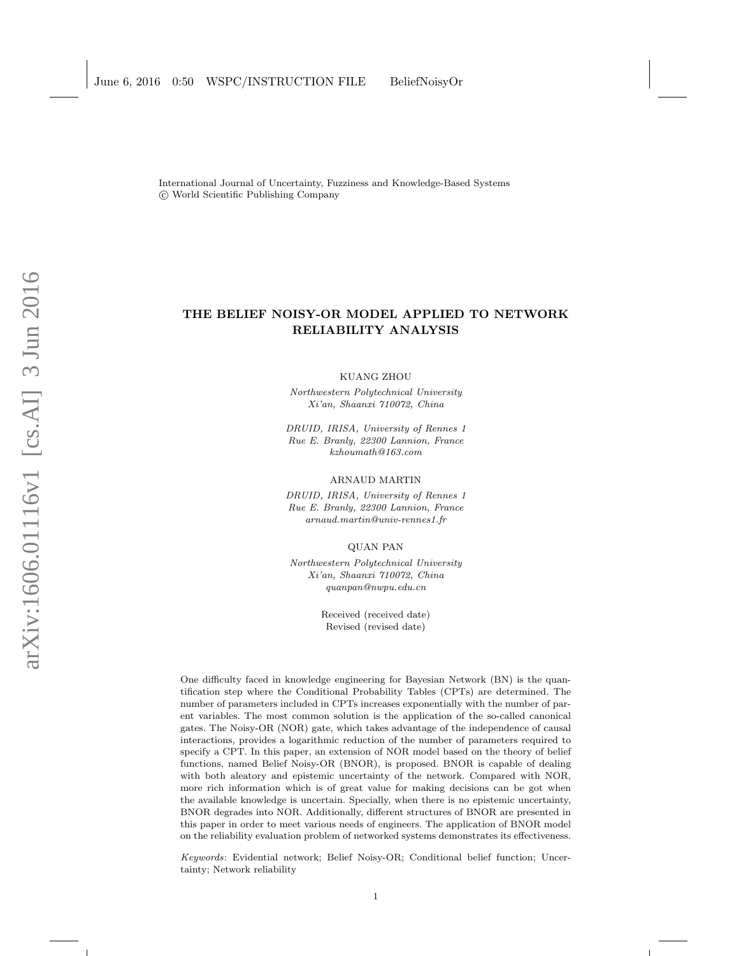International Journal of Uncertainty, Fuzziness and Knowledge-Based Systems c World Scientific Publishing Company

# THE BELIEF NOISY-OR MODEL APPLIED TO NETWORK RELIABILITY ANALYSIS

KUANG ZHOU

Northwestern Polytechnical University Xi'an, Shaanxi 710072, China

DRUID, IRISA, University of Rennes 1 Rue E. Branly, 22300 Lannion, France kzhoumath@163.com

ARNAUD MARTIN

DRUID, IRISA, University of Rennes 1 Rue E. Branly, 22300 Lannion, France arnaud.martin@univ-rennes1.fr

QUAN PAN

Northwestern Polytechnical University Xi'an, Shaanxi 710072, China quanpan@nwpu.edu.cn

> Received (received date) Revised (revised date)

One difficulty faced in knowledge engineering for Bayesian Network (BN) is the quantification step where the Conditional Probability Tables (CPTs) are determined. The number of parameters included in CPTs increases exponentially with the number of parent variables. The most common solution is the application of the so-called canonical gates. The Noisy-OR (NOR) gate, which takes advantage of the independence of causal interactions, provides a logarithmic reduction of the number of parameters required to specify a CPT. In this paper, an extension of NOR model based on the theory of belief functions, named Belief Noisy-OR (BNOR), is proposed. BNOR is capable of dealing with both aleatory and epistemic uncertainty of the network. Compared with NOR, more rich information which is of great value for making decisions can be got when the available knowledge is uncertain. Specially, when there is no epistemic uncertainty, BNOR degrades into NOR. Additionally, different structures of BNOR are presented in this paper in order to meet various needs of engineers. The application of BNOR model on the reliability evaluation problem of networked systems demonstrates its effectiveness.

Keywords: Evidential network; Belief Noisy-OR; Conditional belief function; Uncertainty; Network reliability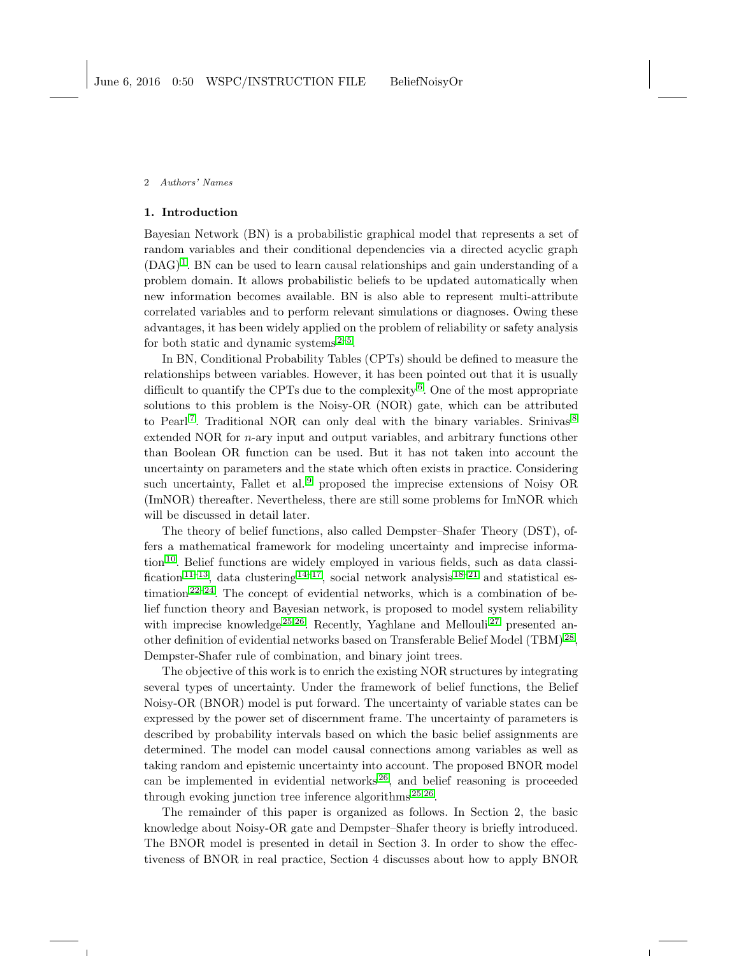#### 1. Introduction

Bayesian Network (BN) is a probabilistic graphical model that represents a set of random variables and their conditional dependencies via a directed acyclic graph  $(DAG)^1$  $(DAG)^1$ . BN can be used to learn causal relationships and gain understanding of a problem domain. It allows probabilistic beliefs to be updated automatically when new information becomes available. BN is also able to represent multi-attribute correlated variables and to perform relevant simulations or diagnoses. Owing these advantages, it has been widely applied on the problem of reliability or safety analysis for both static and dynamic systems $2-5$  $2-5$ .

In BN, Conditional Probability Tables (CPTs) should be defined to measure the relationships between variables. However, it has been pointed out that it is usually difficult to quantify the CPTs due to the complexity<sup>[6](#page-22-3)</sup>. One of the most appropriate solutions to this problem is the Noisy-OR (NOR) gate, which can be attributed to Pearl<sup>[7](#page-22-4)</sup>. Traditional NOR can only deal with the binary variables. Srinivas<sup>[8](#page-23-0)</sup> extended NOR for n-ary input and output variables, and arbitrary functions other than Boolean OR function can be used. But it has not taken into account the uncertainty on parameters and the state which often exists in practice. Considering such uncertainty, Fallet et al.<sup>[9](#page-23-1)</sup> proposed the imprecise extensions of Noisy OR (ImNOR) thereafter. Nevertheless, there are still some problems for ImNOR which will be discussed in detail later.

The theory of belief functions, also called Dempster–Shafer Theory (DST), offers a mathematical framework for modeling uncertainty and imprecise information [10](#page-23-2). Belief functions are widely employed in various fields, such as data classi-fication<sup>[11](#page-23-3)[–13](#page-23-4)</sup>, data clustering  $14-17$  $14-17$ , social network analysis  $18-21$  $18-21$  and statistical estimation  $2^{2-24}$ . The concept of evidential networks, which is a combination of belief function theory and Bayesian network, is proposed to model system reliability with imprecise knowledge  $25:26$  $25:26$ . Recently, Yaghlane and Mellouli  $27$  presented an-other definition of evidential networks based on Transferable Belief Model (TBM)<sup>[28](#page-24-4)</sup>, Dempster-Shafer rule of combination, and binary joint trees.

The objective of this work is to enrich the existing NOR structures by integrating several types of uncertainty. Under the framework of belief functions, the Belief Noisy-OR (BNOR) model is put forward. The uncertainty of variable states can be expressed by the power set of discernment frame. The uncertainty of parameters is described by probability intervals based on which the basic belief assignments are determined. The model can model causal connections among variables as well as taking random and epistemic uncertainty into account. The proposed BNOR model can be implemented in evidential networks  $26$ , and belief reasoning is proceeded through evoking junction tree inference algorithms<sup>[25](#page-24-1)[;26](#page-24-2)</sup>.

The remainder of this paper is organized as follows. In Section 2, the basic knowledge about Noisy-OR gate and Dempster–Shafer theory is briefly introduced. The BNOR model is presented in detail in Section 3. In order to show the effectiveness of BNOR in real practice, Section 4 discusses about how to apply BNOR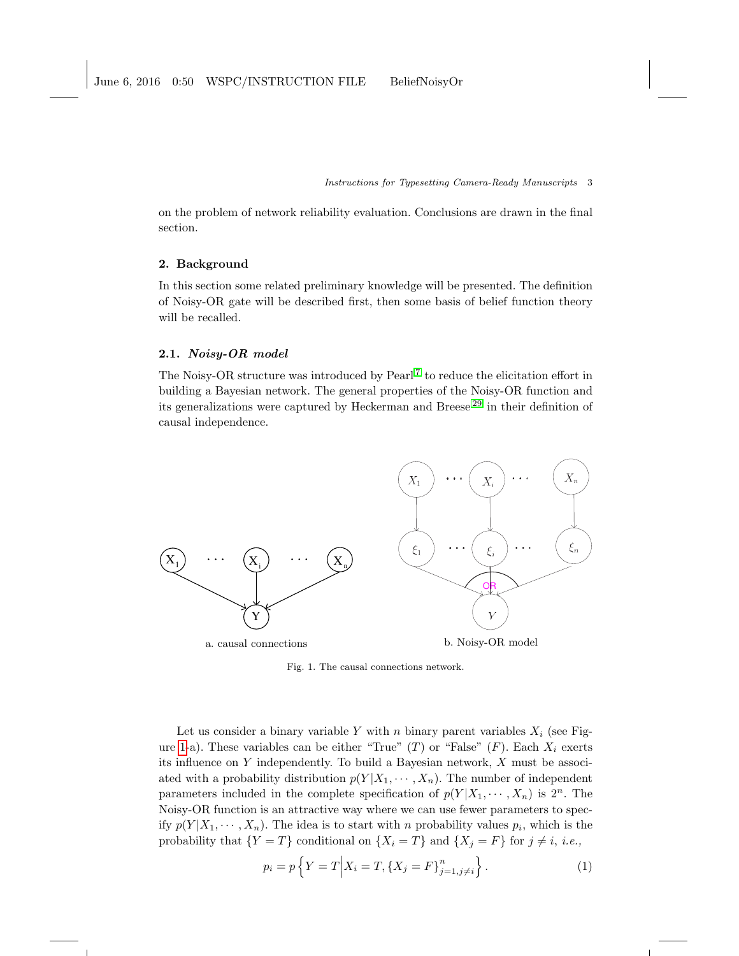on the problem of network reliability evaluation. Conclusions are drawn in the final section.

### 2. Background

In this section some related preliminary knowledge will be presented. The definition of Noisy-OR gate will be described first, then some basis of belief function theory will be recalled.

### 2.1. Noisy-OR model

The Noisy-OR structure was introduced by Pearl<sup>[7](#page-22-4)</sup> to reduce the elicitation effort in building a Bayesian network. The general properties of the Noisy-OR function and its generalizations were captured by Heckerman and Breese [29](#page-24-5) in their definition of causal independence.



<span id="page-2-0"></span>Fig. 1. The causal connections network.

Let us consider a binary variable Y with n binary parent variables  $X_i$  (see Fig-ure [1-](#page-2-0)a). These variables can be either "True" (T) or "False" (F). Each  $X_i$  exerts its influence on  $Y$  independently. To build a Bayesian network,  $X$  must be associated with a probability distribution  $p(Y|X_1, \dots, X_n)$ . The number of independent parameters included in the complete specification of  $p(Y|X_1, \dots, X_n)$  is  $2^n$ . The Noisy-OR function is an attractive way where we can use fewer parameters to specify  $p(Y|X_1, \dots, X_n)$ . The idea is to start with n probability values  $p_i$ , which is the probability that  $\{Y = T\}$  conditional on  $\{X_i = T\}$  and  $\{X_j = F\}$  for  $j \neq i$ , *i.e.*,

$$
p_i = p\left\{Y = T \middle| X_i = T, \{X_j = F\}_{j=1, j\neq i}^n\right\}.
$$
 (1)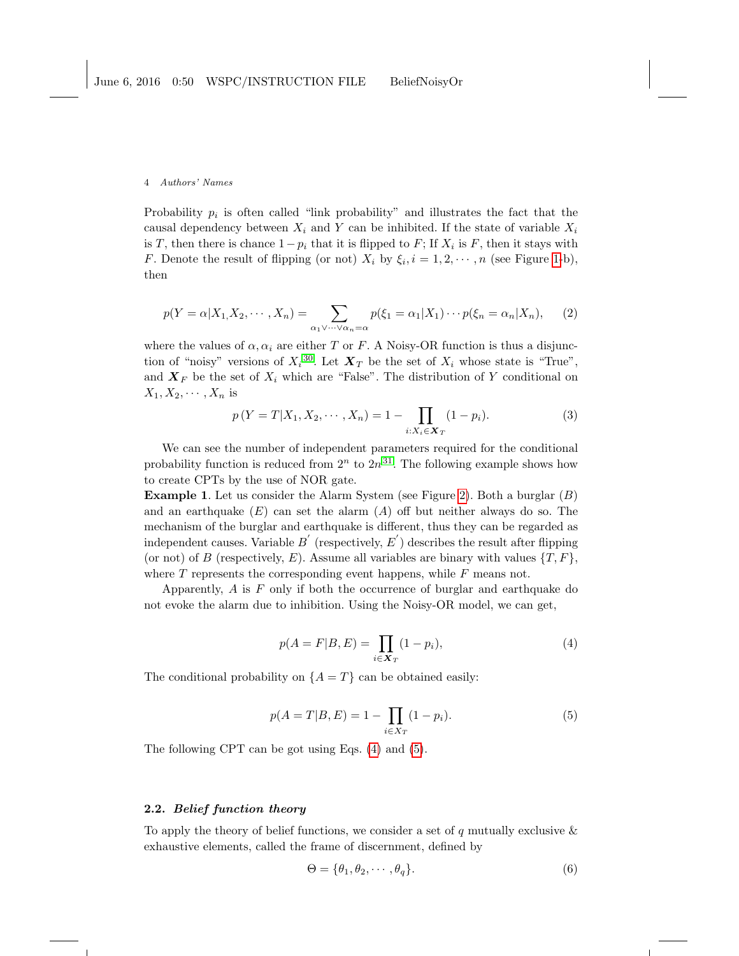Probability  $p_i$  is often called "link probability" and illustrates the fact that the causal dependency between  $X_i$  and Y can be inhibited. If the state of variable  $X_i$ is T, then there is chance  $1-p_i$  that it is flipped to F; If  $X_i$  is F, then it stays with *F*. Denote the result of flipping (or not)  $X_i$  by  $\xi_i$ ,  $i = 1, 2, \dots, n$  (see Figure [1-](#page-2-0)b), then

$$
p(Y = \alpha | X_1, X_2, \cdots, X_n) = \sum_{\alpha_1 \vee \cdots \vee \alpha_n = \alpha} p(\xi_1 = \alpha_1 | X_1) \cdots p(\xi_n = \alpha_n | X_n), \qquad (2)
$$

where the values of  $\alpha, \alpha_i$  are either T or F. A Noisy-OR function is thus a disjunction of "noisy" versions of  $X_i^{30}$  $X_i^{30}$  $X_i^{30}$ . Let  $\mathbf{X}_T$  be the set of  $X_i$  whose state is "True", and  $X_F$  be the set of  $X_i$  which are "False". The distribution of Y conditional on  $X_1, X_2, \cdots, X_n$  is

$$
p(Y = T | X_1, X_2, \cdots, X_n) = 1 - \prod_{i:X_i \in \mathbf{X}_T} (1 - p_i).
$$
 (3)

We can see the number of independent parameters required for the conditional probability function is reduced from  $2^n$  to  $2n^{31}$  $2n^{31}$  $2n^{31}$ . The following example shows how to create CPTs by the use of NOR gate.

Example 1. Let us consider the Alarm System (see Figure [2\)](#page-4-0). Both a burglar (B) and an earthquake  $(E)$  can set the alarm  $(A)$  off but neither always do so. The mechanism of the burglar and earthquake is different, thus they can be regarded as independent causes. Variable  $B^{'}$  (respectively,  $E^{'}$ ) describes the result after flipping (or not) of B (respectively, E). Assume all variables are binary with values  $\{T, F\}$ , where  $T$  represents the corresponding event happens, while  $F$  means not.

Apparently,  $A$  is  $F$  only if both the occurrence of burglar and earthquake do not evoke the alarm due to inhibition. Using the Noisy-OR model, we can get,

<span id="page-3-0"></span>
$$
p(A = F|B, E) = \prod_{i \in \mathbf{X}_T} (1 - p_i),
$$
\n(4)

The conditional probability on  ${A = T}$  can be obtained easily:

<span id="page-3-1"></span>
$$
p(A = T|B, E) = 1 - \prod_{i \in X_T} (1 - p_i).
$$
 (5)

The following CPT can be got using Eqs. [\(4\)](#page-3-0) and [\(5\)](#page-3-1).

## 2.2. Belief function theory

To apply the theory of belief functions, we consider a set of  $q$  mutually exclusive  $\&$ exhaustive elements, called the frame of discernment, defined by

$$
\Theta = \{\theta_1, \theta_2, \cdots, \theta_q\}.
$$
\n<sup>(6)</sup>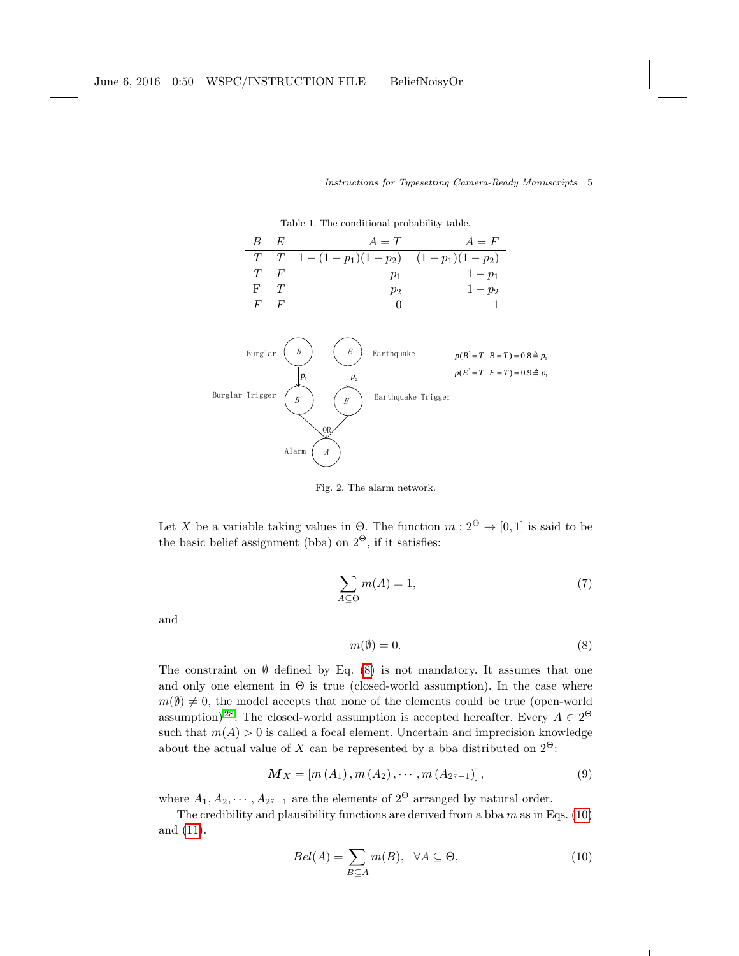|                 | rasie 1, 1110 conditional prostation |   |                                                                                   |                                          |            |                    |                                                                                    |  |  |
|-----------------|--------------------------------------|---|-----------------------------------------------------------------------------------|------------------------------------------|------------|--------------------|------------------------------------------------------------------------------------|--|--|
|                 | B                                    | E |                                                                                   |                                          | $A=T$      |                    | $A = F$                                                                            |  |  |
|                 | T                                    | T |                                                                                   |                                          |            |                    | $1-(1-p_1)(1-p_2)$ $(1-p_1)(1-p_2)$                                                |  |  |
|                 | T                                    | F |                                                                                   |                                          | $p_1$      |                    | $1 - p_1$                                                                          |  |  |
|                 | F                                    | T |                                                                                   |                                          | $p_2$      |                    | $1-p_2$                                                                            |  |  |
|                 | F                                    | F |                                                                                   |                                          | 0          |                    |                                                                                    |  |  |
| Burglar Trigger | Burglar                              |   | $\boldsymbol{B}$<br>$P_1$<br>$\boldsymbol{B}'$<br>OR<br>Alarm<br>$\boldsymbol{A}$ | $\cal E$<br>$p_{2}$<br>$\boldsymbol{E'}$ | Earthquake | Earthquake Trigger | $p(B = T   B = T) = 0.8 \triangleq p_1$<br>$p(E = T   E = T) = 0.9 \triangleq p_1$ |  |  |

Instructions for Typesetting Camera-Ready Manuscripts 5

Table 1. The conditional probability table.

<span id="page-4-0"></span>Fig. 2. The alarm network.

Let X be a variable taking values in  $\Theta$ . The function  $m: 2^{\Theta} \to [0, 1]$  is said to be the basic belief assignment (bba) on  $2^{\Theta}$ , if it satisfies:

$$
\sum_{A \subseteq \Theta} m(A) = 1,\tag{7}
$$

and

<span id="page-4-1"></span>
$$
m(\emptyset) = 0.\t\t(8)
$$

The constraint on  $\emptyset$  defined by Eq. [\(8\)](#page-4-1) is not mandatory. It assumes that one and only one element in  $\Theta$  is true (closed-world assumption). In the case where  $m(\emptyset) \neq 0$ , the model accepts that none of the elements could be true (open-world assumption)<sup>[28](#page-24-4)</sup>. The closed-world assumption is accepted hereafter. Every  $A \in 2^{\Theta}$ such that  $m(A) > 0$  is called a focal element. Uncertain and imprecision knowledge about the actual value of X can be represented by a bba distributed on  $2^{\Theta}$ :

$$
\mathbf{M}_X = [m(A_1), m(A_2), \cdots, m(A_{2^q-1})], \tag{9}
$$

where  $A_1, A_2, \cdots, A_{2^q-1}$  are the elements of  $2^{\Theta}$  arranged by natural order.

The credibility and plausibility functions are derived from a bba  $m$  as in Eqs. [\(10\)](#page-4-2) and [\(11\)](#page-5-0).

<span id="page-4-2"></span>
$$
Bel(A) = \sum_{B \subseteq A} m(B), \quad \forall A \subseteq \Theta,\tag{10}
$$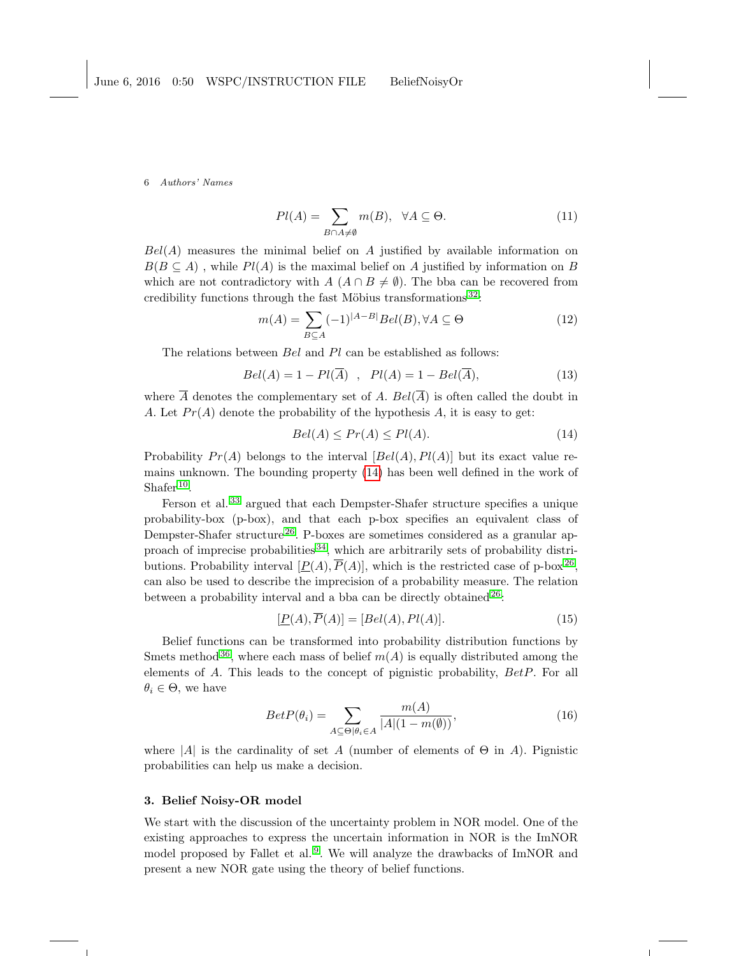<span id="page-5-0"></span>
$$
Pl(A) = \sum_{B \cap A \neq \emptyset} m(B), \ \ \forall A \subseteq \Theta.
$$
 (11)

 $Bel(A)$  measures the minimal belief on A justified by available information on  $B(B \subseteq A)$ , while  $Pl(A)$  is the maximal belief on A justified by information on B which are not contradictory with  $A(A \cap B \neq \emptyset)$ . The bba can be recovered from credibility functions through the fast Möbius transformations  $32$ :

<span id="page-5-2"></span>
$$
m(A) = \sum_{B \subseteq A} (-1)^{|A-B|} Bel(B), \forall A \subseteq \Theta
$$
\n(12)

The relations between Bel and Pl can be established as follows:

$$
Bel(A) = 1 - Pl(\overline{A}), \quad Pl(A) = 1 - Bel(\overline{A}), \tag{13}
$$

where  $\overline{A}$  denotes the complementary set of A. Bel( $\overline{A}$ ) is often called the doubt in A. Let  $Pr(A)$  denote the probability of the hypothesis A, it is easy to get:

<span id="page-5-1"></span>
$$
Bel(A) \le Pr(A) \le Pl(A). \tag{14}
$$

Probability  $Pr(A)$  belongs to the interval  $[Bel(A), Pl(A)]$  but its exact value remains unknown. The bounding property [\(14\)](#page-5-1) has been well defined in the work of Shafer<sup>[10](#page-23-2)</sup>.

Ferson et al.<sup>[33](#page-24-9)</sup> argued that each Dempster-Shafer structure specifies a unique probability-box (p-box), and that each p-box specifies an equivalent class of Dempster-Shafer structure<sup>[26](#page-24-2)</sup>. P-boxes are sometimes considered as a granular approach of imprecise probabilities  $34$ , which are arbitrarily sets of probability distributions. Probability interval  $[P(A), \overline{P}(A)]$ , which is the restricted case of p-box<sup>[26](#page-24-2)</sup>, can also be used to describe the imprecision of a probability measure. The relation between a probability interval and a bba can be directly obtained [26](#page-24-2):

$$
[\underline{P}(A), \overline{P}(A)] = [Bel(A), Pl(A)]. \tag{15}
$$

Belief functions can be transformed into probability distribution functions by Smets method <sup>[36](#page-24-11)</sup>, where each mass of belief  $m(A)$  is equally distributed among the elements of A. This leads to the concept of pignistic probability, BetP. For all  $\theta_i \in \Theta$ , we have

<span id="page-5-3"></span>
$$
BetP(\theta_i) = \sum_{A \subseteq \Theta | \theta_i \in A} \frac{m(A)}{|A|(1 - m(\emptyset))},\tag{16}
$$

where  $|A|$  is the cardinality of set A (number of elements of  $\Theta$  in A). Pignistic probabilities can help us make a decision.

#### 3. Belief Noisy-OR model

We start with the discussion of the uncertainty problem in NOR model. One of the existing approaches to express the uncertain information in NOR is the ImNOR model proposed by Fallet et al.<sup>[9](#page-23-1)</sup>. We will analyze the drawbacks of ImNOR and present a new NOR gate using the theory of belief functions.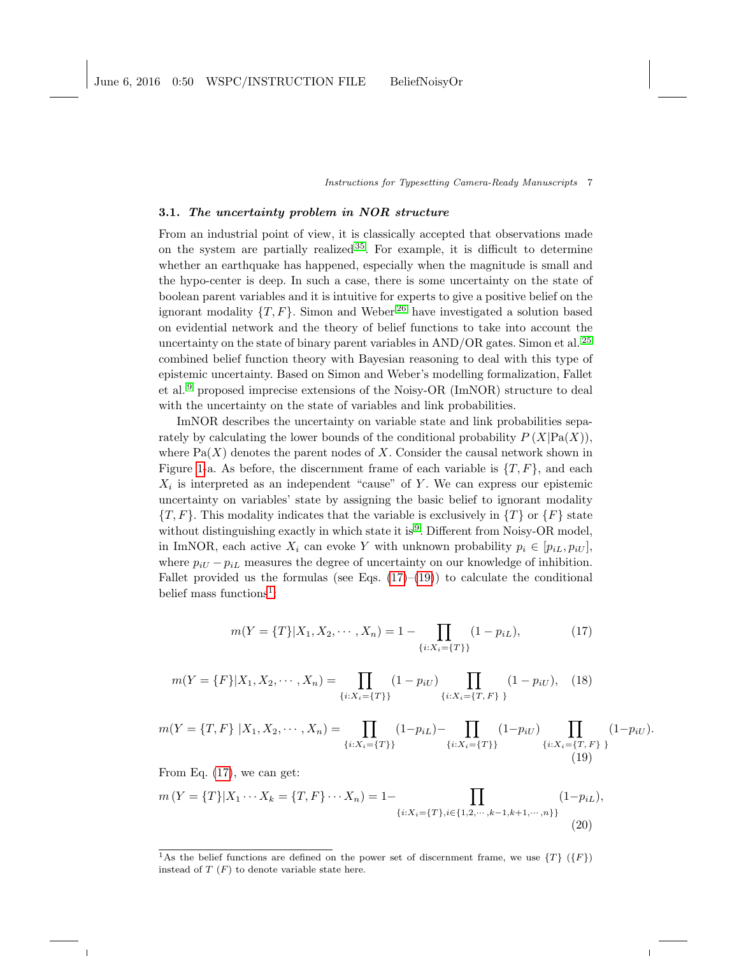### 3.1. The uncertainty problem in NOR structure

From an industrial point of view, it is classically accepted that observations made on the system are partially realized  $35$ . For example, it is difficult to determine whether an earthquake has happened, especially when the magnitude is small and the hypo-center is deep. In such a case, there is some uncertainty on the state of boolean parent variables and it is intuitive for experts to give a positive belief on the ignorant modality  $\{T, F\}$ . Simon and Weber<sup>[26](#page-24-2)</sup> have investigated a solution based on evidential network and the theory of belief functions to take into account the uncertainty on the state of binary parent variables in AND/OR gates. Simon et al. [25](#page-24-1) combined belief function theory with Bayesian reasoning to deal with this type of epistemic uncertainty. Based on Simon and Weber's modelling formalization, Fallet et al. [9](#page-23-1) proposed imprecise extensions of the Noisy-OR (ImNOR) structure to deal with the uncertainty on the state of variables and link probabilities.

ImNOR describes the uncertainty on variable state and link probabilities separately by calculating the lower bounds of the conditional probability  $P(X|Pa(X))$ , where  $Pa(X)$  denotes the parent nodes of X. Consider the causal network shown in Figure [1-](#page-2-0)a. As before, the discernment frame of each variable is  $\{T, F\}$ , and each  $X_i$  is interpreted as an independent "cause" of Y. We can express our epistemic uncertainty on variables' state by assigning the basic belief to ignorant modality  $\{T, F\}$ . This modality indicates that the variable is exclusively in  $\{T\}$  or  $\{F\}$  state without distinguishing exactly in which state it is <sup>[9](#page-23-1)</sup>. Different from Noisy-OR model, in ImNOR, each active  $X_i$  can evoke Y with unknown probability  $p_i \in [p_{iL}, p_{iU}]$ , where  $p_{iU} - p_{iL}$  measures the degree of uncertainty on our knowledge of inhibition. Fallet provided us the formulas (see Eqs.  $(17)–(19)$  $(17)–(19)$  $(17)–(19)$ ) to calculate the conditional belief mass functions<sup>[1](#page-6-2)</sup>:

<span id="page-6-0"></span>
$$
m(Y = \{T\}|X_1, X_2, \cdots, X_n) = 1 - \prod_{\{i:X_i = \{T\}\}} (1 - p_{iL}),
$$
\n(17)

<span id="page-6-3"></span>
$$
m(Y = \{F\}|X_1, X_2, \cdots, X_n) = \prod_{\{i:X_i = \{T\}\}} (1 - p_{iU}) \prod_{\{i:X_i = \{T, F\}\}} (1 - p_{iU}), \quad (18)
$$

<span id="page-6-1"></span>
$$
m(Y = \{T, F\} | X_1, X_2, \cdots, X_n) = \prod_{\{i: X_i = \{T\}\}} (1 - p_{iL}) - \prod_{\{i: X_i = \{T\}\}} (1 - p_{iU}) \prod_{\{i: X_i = \{T, F\}\}} (1 - p_{iU}).
$$
\n(19)

From Eq. [\(17\)](#page-6-0), we can get:

$$
m(Y = \{T\}|X_1 \cdots X_k = \{T, F\} \cdots X_n) = 1 - \prod_{\{i: X_i = \{T\}, i \in \{1, 2, \cdots, k-1, k+1, \cdots, n\}\}} (1 - p_{iL}),
$$
\n(20)

<span id="page-6-2"></span><sup>&</sup>lt;sup>1</sup>As the belief functions are defined on the power set of discernment frame, we use  $\{T\}$  ( $\{F\}$ ) instead of  $T(F)$  to denote variable state here.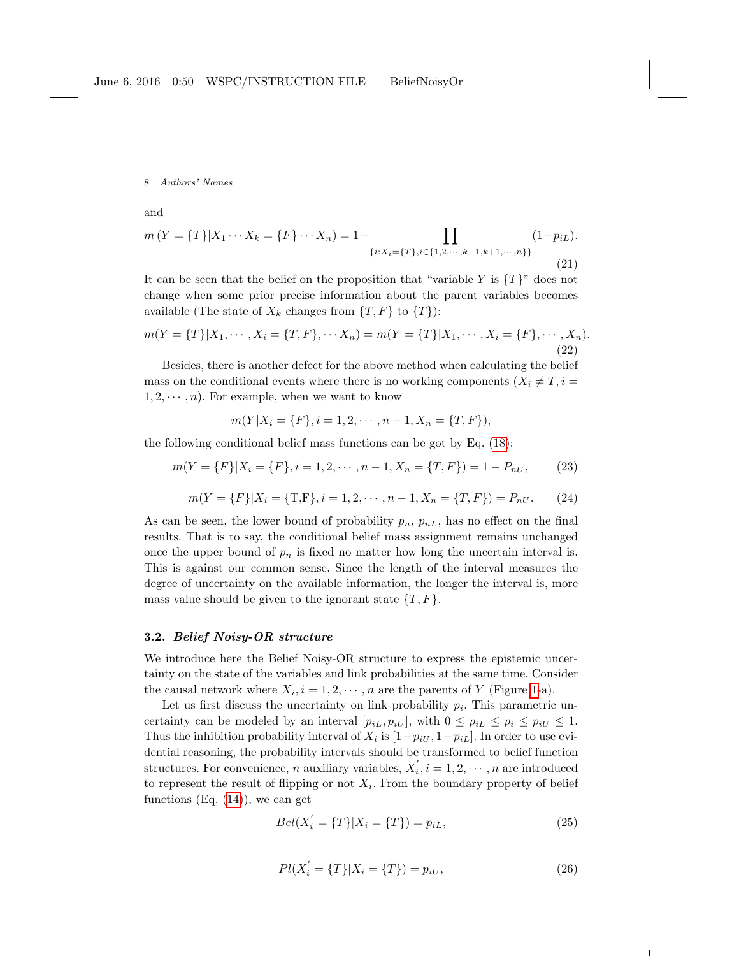and

$$
m(Y = \{T\}|X_1 \cdots X_k = \{F\} \cdots X_n) = 1 - \prod_{\{i: X_i = \{T\}, i \in \{1, 2, \cdots, k-1, k+1, \cdots, n\}\}} (1 - p_{iL}).
$$
\n(21)

It can be seen that the belief on the proposition that "variable Y is  $\{T\}$ " does not change when some prior precise information about the parent variables becomes available (The state of  $X_k$  changes from  $\{T, F\}$  to  $\{T\}$ ):

$$
m(Y = \{T\}|X_1, \cdots, X_i = \{T, F\}, \cdots X_n) = m(Y = \{T\}|X_1, \cdots, X_i = \{F\}, \cdots, X_n).
$$
\n(22)

Besides, there is another defect for the above method when calculating the belief mass on the conditional events where there is no working components  $(X_i \neq T, i =$  $1, 2, \dots, n$ . For example, when we want to know

$$
m(Y|X_i = \{F\}, i = 1, 2, \cdots, n-1, X_n = \{T, F\}),
$$

the following conditional belief mass functions can be got by Eq. [\(18\)](#page-6-3):

$$
m(Y = \{F\}|X_i = \{F\}, i = 1, 2, \cdots, n - 1, X_n = \{T, F\}) = 1 - P_{nU},
$$
\n(23)

$$
m(Y = \{F\}|X_i = \{\text{T,F}\}, i = 1, 2, \cdots, n-1, X_n = \{T, F\}) = P_{nU}.
$$
 (24)

As can be seen, the lower bound of probability  $p_n$ ,  $p_{nL}$ , has no effect on the final results. That is to say, the conditional belief mass assignment remains unchanged once the upper bound of  $p_n$  is fixed no matter how long the uncertain interval is. This is against our common sense. Since the length of the interval measures the degree of uncertainty on the available information, the longer the interval is, more mass value should be given to the ignorant state  $\{T, F\}.$ 

## 3.2. Belief Noisy-OR structure

We introduce here the Belief Noisy-OR structure to express the epistemic uncertainty on the state of the variables and link probabilities at the same time. Consider the causal network where  $X_i$ ,  $i = 1, 2, \dots, n$  are the parents of Y (Figure [1-](#page-2-0)a).

Let us first discuss the uncertainty on link probability  $p_i$ . This parametric uncertainty can be modeled by an interval  $[p_{iL}, p_{iU}],$  with  $0 \leq p_{iL} \leq p_i \leq p_{iU} \leq 1$ . Thus the inhibition probability interval of  $X_i$  is  $[1-p_{iU}, 1-p_{iL}]$ . In order to use evidential reasoning, the probability intervals should be transformed to belief function structures. For convenience, *n* auxiliary variables,  $X'_i$ ,  $i = 1, 2, \dots, n$  are introduced to represent the result of flipping or not  $X_i$ . From the boundary property of belief functions  $(Eq. (14))$  $(Eq. (14))$  $(Eq. (14))$ , we can get

$$
Bel(X'_{i} = \{T\}|X_{i} = \{T\}) = p_{iL},
$$
\n(25)

$$
Pl(X'_{i} = \{T\}|X_{i} = \{T\}) = p_{iU},
$$
\n(26)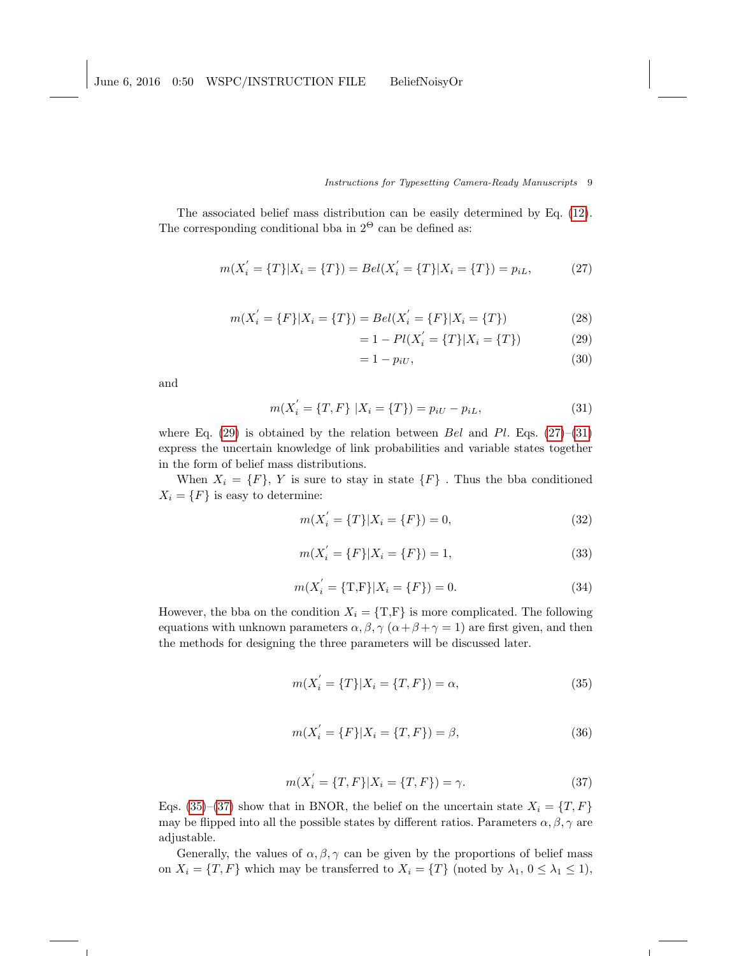The associated belief mass distribution can be easily determined by Eq. [\(12\)](#page-5-2). The corresponding conditional bba in  $2^{\Theta}$  can be defined as:

<span id="page-8-1"></span>
$$
m(X'_{i} = \{T\}|X_{i} = \{T\}) = Bel(X'_{i} = \{T\}|X_{i} = \{T\}) = p_{iL},
$$
\n(27)

$$
m(X'_{i} = \{F\}|X_{i} = \{T\}) = Bel(X'_{i} = \{F\}|X_{i} = \{T\})
$$
\n(28)

$$
= 1 - Pl(X_i^{'} = \{T\}|X_i = \{T\})
$$
\n(29)

<span id="page-8-0"></span>
$$
=1-p_{iU},\t\t(30)
$$

and

<span id="page-8-2"></span>
$$
m(X'_{i} = \{T, F\} | X_{i} = \{T\}) = p_{iU} - p_{iL},
$$
\n(31)

where Eq. [\(29\)](#page-8-0) is obtained by the relation between Bel and Pl. Eqs. [\(27\)](#page-8-1)–[\(31\)](#page-8-2) express the uncertain knowledge of link probabilities and variable states together in the form of belief mass distributions.

When  $X_i = \{F\}$ , Y is sure to stay in state  $\{F\}$ . Thus the bba conditioned  $X_i = \{F\}$  is easy to determine:

$$
m(X'_{i} = \{T\}|X_{i} = \{F\}) = 0,
$$
\n(32)

$$
m(X'_{i} = \{F\}|X_{i} = \{F\}) = 1,
$$
\n(33)

$$
m(X'_{i} = \{T, F\}|X_{i} = \{F\}) = 0.
$$
\n(34)

However, the bba on the condition  $X_i = \{T, F\}$  is more complicated. The following equations with unknown parameters  $\alpha, \beta, \gamma$  ( $\alpha + \beta + \gamma = 1$ ) are first given, and then the methods for designing the three parameters will be discussed later.

<span id="page-8-3"></span>
$$
m(X'_{i} = \{T\}|X_{i} = \{T, F\}) = \alpha,
$$
\n(35)

$$
m(X'_{i} = \{F\}|X_{i} = \{T, F\}) = \beta,
$$
\n(36)

<span id="page-8-4"></span>
$$
m(X'_{i} = \{T, F\}|X_{i} = \{T, F\}) = \gamma.
$$
\n(37)

Eqs. [\(35\)](#page-8-3)–[\(37\)](#page-8-4) show that in BNOR, the belief on the uncertain state  $X_i = \{T, F\}$ may be flipped into all the possible states by different ratios. Parameters  $\alpha, \beta, \gamma$  are adjustable.

Generally, the values of  $\alpha, \beta, \gamma$  can be given by the proportions of belief mass on  $X_i = \{T, F\}$  which may be transferred to  $X_i = \{T\}$  (noted by  $\lambda_1, 0 \leq \lambda_1 \leq 1$ ),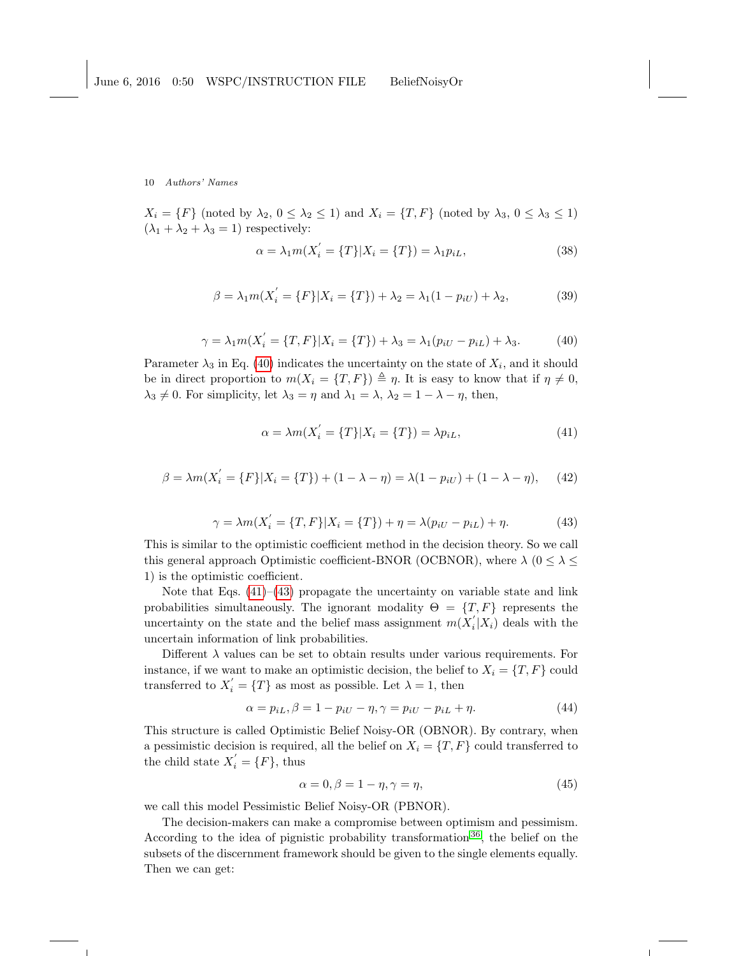$X_i = \{F\}$  (noted by  $\lambda_2, 0 \leq \lambda_2 \leq 1$ ) and  $X_i = \{T, F\}$  (noted by  $\lambda_3, 0 \leq \lambda_3 \leq 1$ )  $(\lambda_1+\lambda_2+\lambda_3=1)$  respectively:

$$
\alpha = \lambda_1 m(X_i' = \{T\}|X_i = \{T\}) = \lambda_1 p_{iL},\tag{38}
$$

$$
\beta = \lambda_1 m(X'_i = \{F\}|X_i = \{T\}) + \lambda_2 = \lambda_1 (1 - p_{iU}) + \lambda_2, \tag{39}
$$

<span id="page-9-0"></span>
$$
\gamma = \lambda_1 m(X_i' = \{T, F\}|X_i = \{T\}) + \lambda_3 = \lambda_1 (p_{iU} - p_{iL}) + \lambda_3. \tag{40}
$$

Parameter  $\lambda_3$  in Eq. [\(40\)](#page-9-0) indicates the uncertainty on the state of  $X_i$ , and it should be in direct proportion to  $m(X_i = \{T, F\}) \triangleq \eta$ . It is easy to know that if  $\eta \neq 0$ ,  $\lambda_3 \neq 0$ . For simplicity, let  $\lambda_3 = \eta$  and  $\lambda_1 = \lambda$ ,  $\lambda_2 = 1 - \lambda - \eta$ , then,

<span id="page-9-1"></span>
$$
\alpha = \lambda m(X_i' = \{T\}|X_i = \{T\}) = \lambda p_{iL},\tag{41}
$$

$$
\beta = \lambda m(X'_i = \{F\}|X_i = \{T\}) + (1 - \lambda - \eta) = \lambda(1 - p_{iU}) + (1 - \lambda - \eta), \quad (42)
$$

<span id="page-9-2"></span>
$$
\gamma = \lambda m(X_i' = \{T, F\}|X_i = \{T\}) + \eta = \lambda (p_{iU} - p_{iL}) + \eta.
$$
 (43)

This is similar to the optimistic coefficient method in the decision theory. So we call this general approach Optimistic coefficient-BNOR (OCBNOR), where  $\lambda$  ( $0 \leq \lambda \leq$ 1) is the optimistic coefficient.

Note that Eqs.  $(41)$ – $(43)$  propagate the uncertainty on variable state and link probabilities simultaneously. The ignorant modality  $\Theta = \{T, F\}$  represents the uncertainty on the state and the belief mass assignment  $m(X_i'|X_i)$  deals with the uncertain information of link probabilities.

Different  $\lambda$  values can be set to obtain results under various requirements. For instance, if we want to make an optimistic decision, the belief to  $X_i = \{T, F\}$  could transferred to  $X_i' = \{T\}$  as most as possible. Let  $\lambda = 1$ , then

$$
\alpha = p_{iL}, \beta = 1 - p_{iU} - \eta, \gamma = p_{iU} - p_{iL} + \eta. \tag{44}
$$

This structure is called Optimistic Belief Noisy-OR (OBNOR). By contrary, when a pessimistic decision is required, all the belief on  $X_i = \{T, F\}$  could transferred to the child state  $X'_{i} = \{F\}$ , thus

$$
\alpha = 0, \beta = 1 - \eta, \gamma = \eta,\tag{45}
$$

we call this model Pessimistic Belief Noisy-OR (PBNOR).

The decision-makers can make a compromise between optimism and pessimism. According to the idea of pignistic probability transformation [36](#page-24-11), the belief on the subsets of the discernment framework should be given to the single elements equally. Then we can get: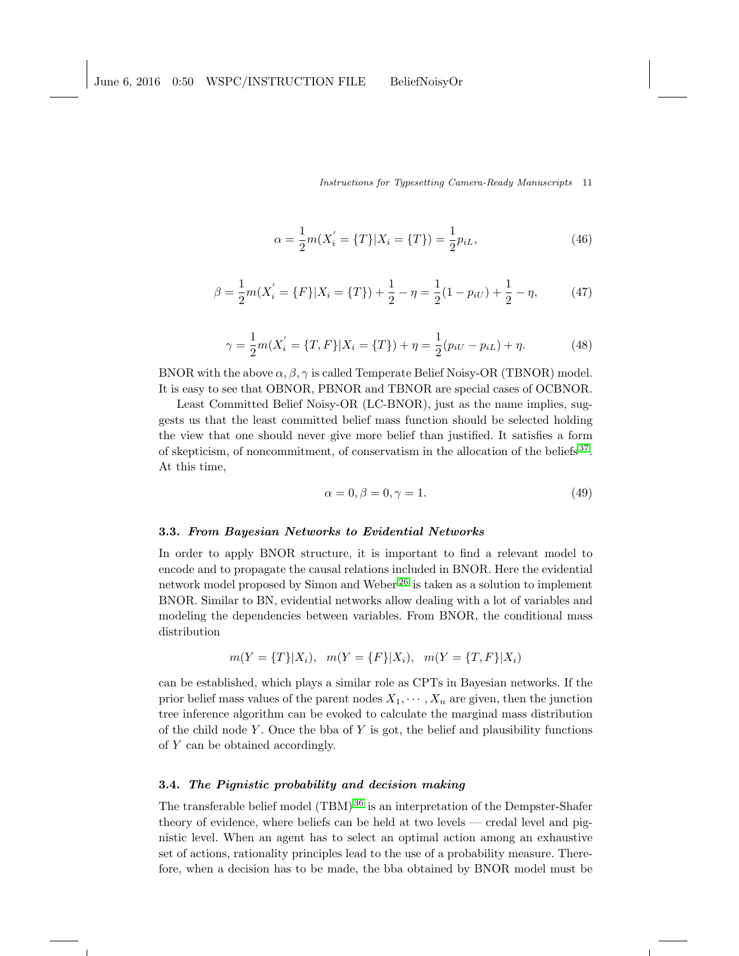$$
\alpha = \frac{1}{2}m(X_i' = \{T\}|X_i = \{T\}) = \frac{1}{2}p_{iL},\tag{46}
$$

$$
\beta = \frac{1}{2}m(X_i' = \{F\}|X_i = \{T\}) + \frac{1}{2} - \eta = \frac{1}{2}(1 - p_{iU}) + \frac{1}{2} - \eta,
$$
 (47)

$$
\gamma = \frac{1}{2}m(X_i' = \{T, F\}|X_i = \{T\}) + \eta = \frac{1}{2}(p_{iU} - p_{iL}) + \eta.
$$
 (48)

BNOR with the above  $\alpha, \beta, \gamma$  is called Temperate Belief Noisy-OR (TBNOR) model. It is easy to see that OBNOR, PBNOR and TBNOR are special cases of OCBNOR.

Least Committed Belief Noisy-OR (LC-BNOR), just as the name implies, suggests us that the least committed belief mass function should be selected holding the view that one should never give more belief than justified. It satisfies a form of skepticism, of noncommitment, of conservatism in the allocation of the beliefs<sup>[37](#page-24-13)</sup>. At this time,

$$
\alpha = 0, \beta = 0, \gamma = 1. \tag{49}
$$

### 3.3. From Bayesian Networks to Evidential Networks

In order to apply BNOR structure, it is important to find a relevant model to encode and to propagate the causal relations included in BNOR. Here the evidential network model proposed by Simon and Weber [26](#page-24-2) is taken as a solution to implement BNOR. Similar to BN, evidential networks allow dealing with a lot of variables and modeling the dependencies between variables. From BNOR, the conditional mass distribution

$$
m(Y = {T}|X_i), m(Y = {F}|X_i), m(Y = {T, F}|X_i)
$$

can be established, which plays a similar role as CPTs in Bayesian networks. If the prior belief mass values of the parent nodes  $X_1, \dots, X_n$  are given, then the junction tree inference algorithm can be evoked to calculate the marginal mass distribution of the child node Y. Once the bba of Y is got, the belief and plausibility functions of Y can be obtained accordingly.

## 3.4. The Pignistic probability and decision making

The transferable belief model (TBM) [36](#page-24-11) is an interpretation of the Dempster-Shafer theory of evidence, where beliefs can be held at two levels — credal level and pignistic level. When an agent has to select an optimal action among an exhaustive set of actions, rationality principles lead to the use of a probability measure. Therefore, when a decision has to be made, the bba obtained by BNOR model must be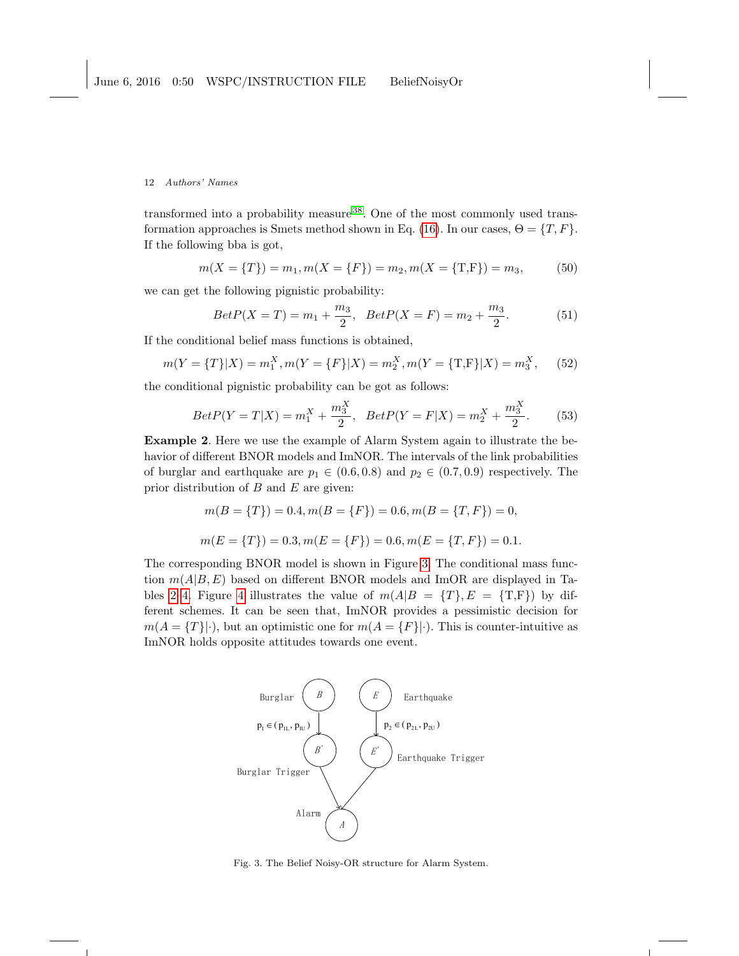transformed into a probability measure [38](#page-24-14). One of the most commonly used trans-formation approaches is Smets method shown in Eq. [\(16\)](#page-5-3). In our cases,  $\Theta = \{T, F\}.$ If the following bba is got,

$$
m(X = \{T\}) = m_1, m(X = \{F\}) = m_2, m(X = \{T, F\}) = m_3,
$$
\n(50)

we can get the following pignistic probability:

<span id="page-11-1"></span>
$$
BetP(X = T) = m_1 + \frac{m_3}{2}, \quad BetP(X = F) = m_2 + \frac{m_3}{2}.
$$
 (51)

If the conditional belief mass functions is obtained,

$$
m(Y = \{T\}|X) = m_1^X, m(Y = \{F\}|X) = m_2^X, m(Y = \{\text{T}, \text{F}\}|X) = m_3^X, \tag{52}
$$

the conditional pignistic probability can be got as follows:

<span id="page-11-2"></span>
$$
BetP(Y = T|X) = m_1^X + \frac{m_3^X}{2}, \quad BetP(Y = F|X) = m_2^X + \frac{m_3^X}{2}.
$$
 (53)

Example 2. Here we use the example of Alarm System again to illustrate the behavior of different BNOR models and ImNOR. The intervals of the link probabilities of burglar and earthquake are  $p_1 \in (0.6, 0.8)$  and  $p_2 \in (0.7, 0.9)$  respectively. The prior distribution of  $B$  and  $E$  are given:

$$
m(B = \{T\}) = 0.4, m(B = \{F\}) = 0.6, m(B = \{T, F\}) = 0,
$$
  

$$
m(E = \{T\}) = 0.3, m(E = \{F\}) = 0.6, m(E = \{T, F\}) = 0.1.
$$

The corresponding BNOR model is shown in Figure [3.](#page-11-0) The conditional mass function  $m(A|B, E)$  based on different BNOR models and ImOR are displayed in Ta-bles [2](#page-13-0)[–4.](#page-14-0) Figure [4](#page-12-0) illustrates the value of  $m(A|B = \{T\}, E = \{T,F\})$  by different schemes. It can be seen that, ImNOR provides a pessimistic decision for  $m(A = \{T\}|\cdot)$ , but an optimistic one for  $m(A = \{F\}|\cdot)$ . This is counter-intuitive as ImNOR holds opposite attitudes towards one event.



<span id="page-11-0"></span>Fig. 3. The Belief Noisy-OR structure for Alarm System.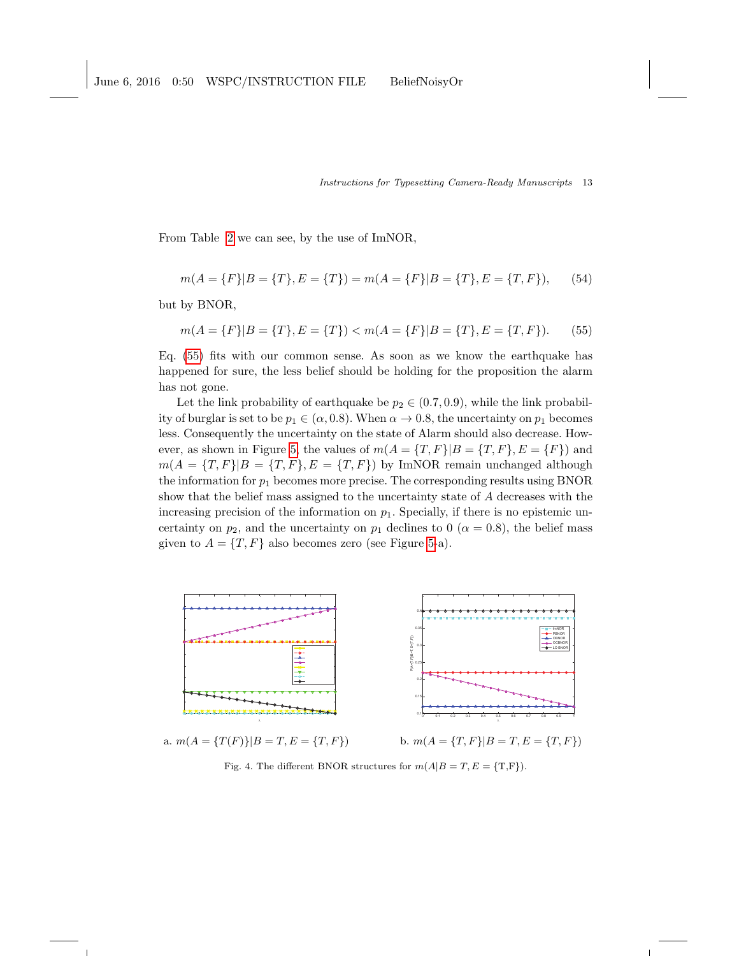From Table [2](#page-13-0) we can see, by the use of ImNOR,

$$
m(A = \{F\}|B = \{T\}, E = \{T\}) = m(A = \{F\}|B = \{T\}, E = \{T, F\}),
$$
(54)

but by BNOR,

<span id="page-12-1"></span>
$$
m(A = \{F\}|B = \{T\}, E = \{T\}) < m(A = \{F\}|B = \{T\}, E = \{T, F\}).
$$
 (55)

Eq. [\(55\)](#page-12-1) fits with our common sense. As soon as we know the earthquake has happened for sure, the less belief should be holding for the proposition the alarm has not gone.

Let the link probability of earthquake be  $p_2 \in (0.7, 0.9)$ , while the link probability of burglar is set to be  $p_1 \in (\alpha, 0.8)$ . When  $\alpha \to 0.8$ , the uncertainty on  $p_1$  becomes less. Consequently the uncertainty on the state of Alarm should also decrease. How-ever, as shown in Figure [5,](#page-13-1) the values of  $m(A = \{T, F\} | B = \{T, F\}, E = \{F\})$  and  $m(A = {T, F}|B = {T, F}, E = {T, F})$  by ImNOR remain unchanged although the information for  $p_1$  becomes more precise. The corresponding results using BNOR show that the belief mass assigned to the uncertainty state of A decreases with the increasing precision of the information on  $p_1$ . Specially, if there is no epistemic uncertainty on  $p_2$ , and the uncertainty on  $p_1$  declines to 0 ( $\alpha = 0.8$ ), the belief mass given to  $A = \{T, F\}$  also becomes zero (see Figure [5-](#page-13-1)a).



a.  $m(A = {T(F)}|B = T, E = {T, F})$  b.  $m(A = {T, F}|B = T, E = {T, F})$ 

<span id="page-12-0"></span>Fig. 4. The different BNOR structures for  $m(A|B = T, E = \{T, F\})$ .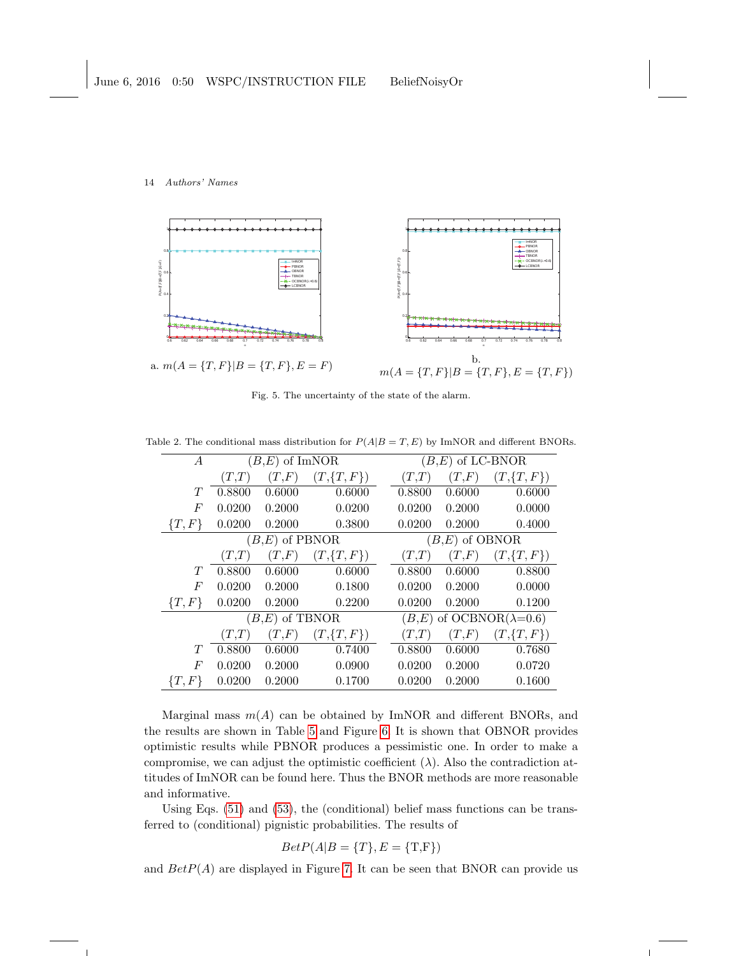

<span id="page-13-1"></span>Fig. 5. The uncertainty of the state of the alarm.

Table 2. The conditional mass distribution for  $P(A|B = T, E)$  by ImNOR and different BNORs.

<span id="page-13-0"></span>

| $\overline{A}$ | $(B,E)$ of ImNOR |        |               |  | $(B,E)$ of LC-BNOR                 |        |               |  |  |
|----------------|------------------|--------|---------------|--|------------------------------------|--------|---------------|--|--|
|                | (T,T)            | (T, F) | $(T,\{T,F\})$ |  | (T,T)                              | (T, F) | $(T,\{T,F\})$ |  |  |
| T              | 0.8800           | 0.6000 | 0.6000        |  | 0.8800                             | 0.6000 | 0.6000        |  |  |
| F              | 0.0200           | 0.2000 | 0.0200        |  | 0.0200                             | 0.2000 | 0.0000        |  |  |
| $\{T, F\}$     | 0.0200           | 0.2000 | 0.3800        |  | 0.0200                             | 0.2000 | 0.4000        |  |  |
|                | $(B,E)$ of PBNOR |        |               |  | $(B, E)$ of OBNOR                  |        |               |  |  |
|                | (T,T)            | (T,F)  | $(T,\{T,F\})$ |  | (T,T)                              | (T, F) | $(T,\{T,F\})$ |  |  |
| T              | 0.8800           | 0.6000 | 0.6000        |  | 0.8800                             | 0.6000 | 0.8800        |  |  |
| F              | 0.0200           | 0.2000 | 0.1800        |  | 0.0200                             | 0.2000 | 0.0000        |  |  |
| $\{T, F\}$     | 0.0200           | 0.2000 | 0.2200        |  | 0.0200                             | 0.2000 | 0.1200        |  |  |
|                | $(B,E)$ of TBNOR |        |               |  | $(B,E)$ of OCBNOR( $\lambda=0.6$ ) |        |               |  |  |
|                | (T,T)            | (T, F) | $(T,\{T,F\})$ |  | (T,T)                              | (T, F) | $(T,\{T,F\})$ |  |  |
| T              | 0.8800           | 0.6000 | 0.7400        |  | 0.8800                             | 0.6000 | 0.7680        |  |  |
| F              | 0.0200           | 0.2000 | 0.0900        |  | 0.0200                             | 0.2000 | 0.0720        |  |  |
| $\{T,F\}$      | 0.0200           | 0.2000 | 0.1700        |  | 0.0200                             | 0.2000 | 0.1600        |  |  |

Marginal mass  $m(A)$  can be obtained by ImNOR and different BNORs, and the results are shown in Table [5](#page-15-0) and Figure [6.](#page-15-1) It is shown that OBNOR provides optimistic results while PBNOR produces a pessimistic one. In order to make a compromise, we can adjust the optimistic coefficient  $(\lambda)$ . Also the contradiction attitudes of ImNOR can be found here. Thus the BNOR methods are more reasonable and informative.

Using Eqs. [\(51\)](#page-11-1) and [\(53\)](#page-11-2), the (conditional) belief mass functions can be transferred to (conditional) pignistic probabilities. The results of

$$
BetP(A|B = \{T\}, E = \{\text{T,F}\})
$$

and  $BetP(A)$  are displayed in Figure [7.](#page-15-2) It can be seen that BNOR can provide us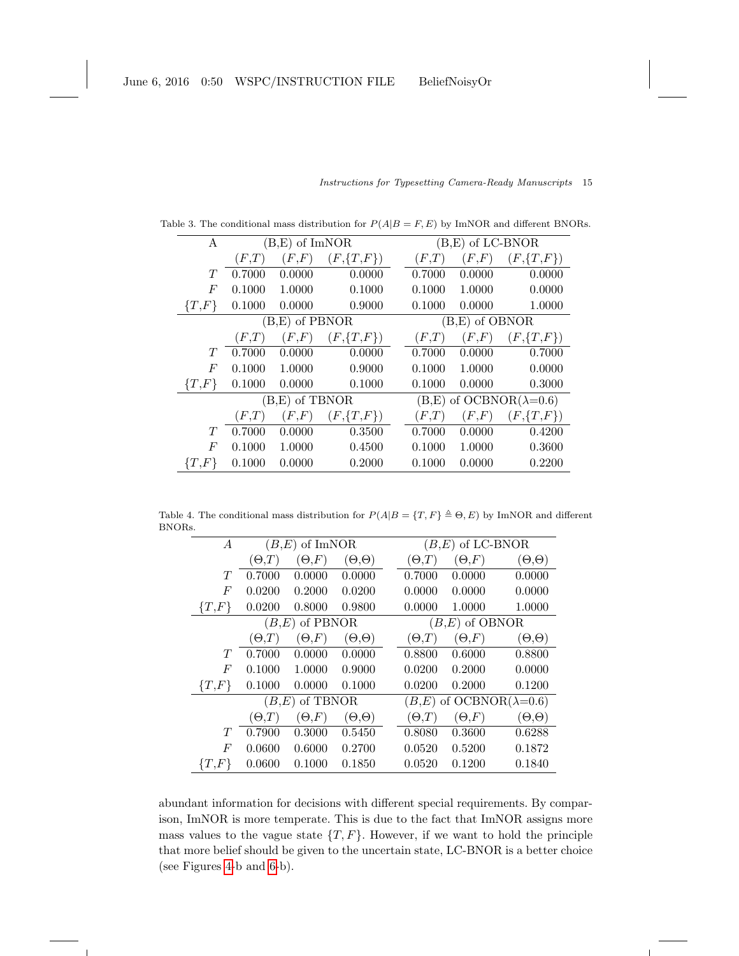| A         |                | $(B, E)$ of ImNOR |               | $(B, E)$ of LC-BNOR |                                    |               |  |  |
|-----------|----------------|-------------------|---------------|---------------------|------------------------------------|---------------|--|--|
|           | (F,T)          | (F, F)            | $(F,\{T,F\})$ | (F,T)               | (F, F)                             | $(F,\{T,F\})$ |  |  |
| T         | 0.7000         | 0.0000            | 0.0000        | 0.7000              | 0.0000                             | 0.0000        |  |  |
| F         | 0.1000         | 1.0000            | 0.1000        | 0.1000              | 1.0000                             | 0.0000        |  |  |
| $\{T,F\}$ | 0.1000         | 0.0000            | 0.9000        | 0.1000              | 0.0000                             | 1.0000        |  |  |
|           |                | (B,E) of PBNOR    |               | $(B,E)$ of OBNOR    |                                    |               |  |  |
|           | (F,T)          | (F, F)            | $(F,\{T,F\})$ | (F,T)               | (F, F)                             | $(F,\{T,F\})$ |  |  |
| T         | 0.7000         | 0.0000            | 0.0000        | 0.7000              | 0.0000                             | 0.7000        |  |  |
| F         | 0.1000         | 1.0000            | 0.9000        | 0.1000              | 1.0000                             | 0.0000        |  |  |
| $\{T,F\}$ | 0.1000         | 0.0000            | 0.1000        | 0.1000              | 0.0000                             | 0.3000        |  |  |
|           | (B,E) of TBNOR |                   |               |                     | $(B,E)$ of OCBNOR( $\lambda=0.6$ ) |               |  |  |
|           | (F,T)          | (F, F)            | $(F,\{T,F\})$ | (F,T)               | (F, F)                             | $(F,\{T,F\})$ |  |  |
| T         | 0.7000         | 0.0000            | 0.3500        | 0.7000              | 0.0000                             | 0.4200        |  |  |
| F         | 0.1000         | 1.0000            | 0.4500        | 0.1000              | 1.0000                             | 0.3600        |  |  |
| $\{T,F\}$ | 0.1000         | 0.0000            | 0.2000        | 0.1000              | 0.0000                             | 0.2200        |  |  |

Instructions for Typesetting Camera-Ready Manuscripts 15

Table 3. The conditional mass distribution for  $P(A|B = F, E)$  by ImNOR and different BNORs.

Table 4. The conditional mass distribution for  $P(A|B = \{T, F\} \triangleq \Theta, E)$  by ImNOR and different BNORs.

<span id="page-14-0"></span>

| A                | $(B,E)$ of ImNOR  |               |                   |  | $(B,E)$ of LC-BNOR                 |               |                   |  |
|------------------|-------------------|---------------|-------------------|--|------------------------------------|---------------|-------------------|--|
|                  | $(\Theta, \! T)$  | $(\Theta,F)$  | $(\Theta,\Theta)$ |  | $(\Theta, T)$                      | $(\Theta, F)$ | $(\Theta,\Theta)$ |  |
| T                | 0.7000            | 0.0000        | 0.0000            |  | 0.7000                             | 0.0000        | 0.0000            |  |
| F                | 0.0200            | 0.2000        | 0.0200            |  | 0.0000                             | 0.0000        | 0.0000            |  |
| $\{T,F\}$        | 0.0200            | 0.8000        | 0.9800            |  | 0.0000                             | 1.0000        | 1.0000            |  |
|                  | of PBNOR<br>(B,E) |               |                   |  | $(B, E)$ of OBNOR                  |               |                   |  |
|                  | ( $\Theta.T$      | $(\Theta, F)$ | $(\Theta,\Theta)$ |  | $(\Theta, T)$                      | $(\Theta, F)$ | $(\Theta,\Theta)$ |  |
| T                | 0.7000            | 0.0000        | 0.0000            |  | 0.8800                             | 0.6000        | 0.8800            |  |
| F                | 0.1000            | 1.0000        | 0.9000            |  | 0.0200                             | 0.2000        | 0.0000            |  |
| $\{T,F\}$        | 0.1000            | 0.0000        | 0.1000            |  | 0.0200                             | 0.2000        | 0.1200            |  |
|                  | of TBNOR<br>(B.E) |               |                   |  | $(B,E)$ of OCBNOR( $\lambda=0.6$ ) |               |                   |  |
|                  | $(\Theta, T)$     | $(\Theta,F)$  | $(\Theta,\Theta)$ |  | $(\Theta, T)$                      | $(\Theta, F)$ | $(\Theta,\Theta)$ |  |
| T                | 0.7900            | 0.3000        | 0.5450            |  | 0.8080                             | 0.3600        | 0.6288            |  |
| $\boldsymbol{F}$ | 0.0600            | 0.6000        | 0.2700            |  | 0.0520                             | 0.5200        | 0.1872            |  |
| $\{T,F\}$        | 0.0600            | 0.1000        | 0.1850            |  | 0.0520                             | 0.1200        | 0.1840            |  |

abundant information for decisions with different special requirements. By comparison, ImNOR is more temperate. This is due to the fact that ImNOR assigns more mass values to the vague state  $\{T, F\}$ . However, if we want to hold the principle that more belief should be given to the uncertain state, LC-BNOR is a better choice (see Figures [4-](#page-12-0)b and [6-](#page-15-1)b).

 $\overline{\phantom{a}}$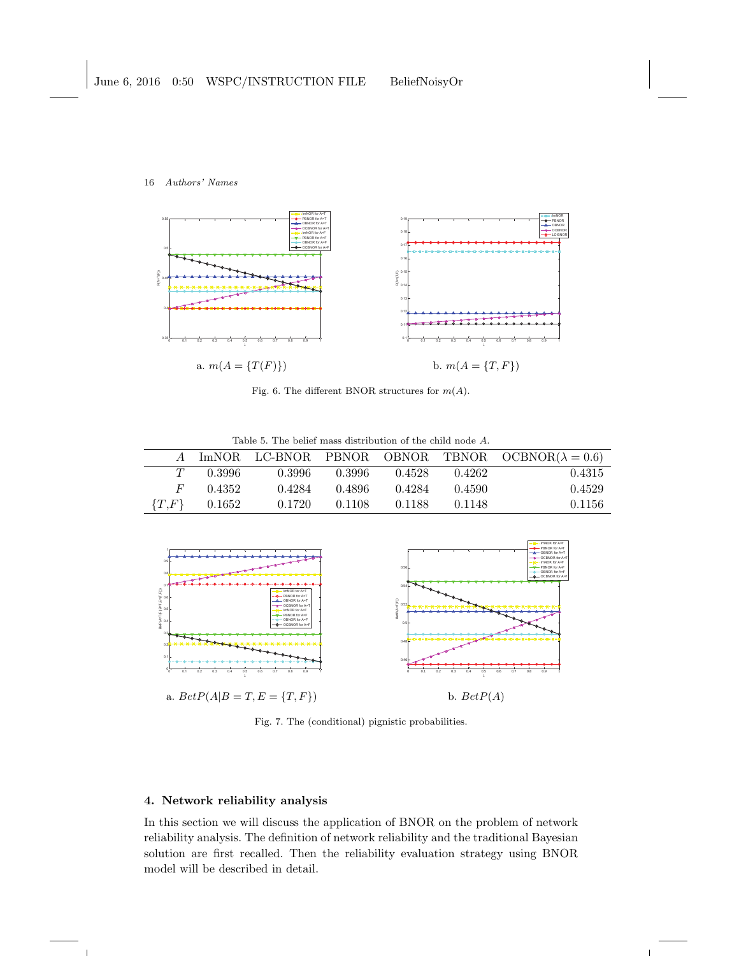

<span id="page-15-1"></span>Fig. 6. The different BNOR structures for  $m(A)$ .

<span id="page-15-0"></span>Table 5. The belief mass distribution of the child node A.

|              |                |        |        |        |        | A ImNOR LC-BNOR PBNOR OBNOR TBNOR OCBNOR( $\lambda = 0.6$ ) |
|--------------|----------------|--------|--------|--------|--------|-------------------------------------------------------------|
| T            | - 0.3996       | 0.3996 | 0.3996 | 0.4528 | 0.4262 | 0.4315                                                      |
| $H^{\prime}$ | 0.4352         | 0.4284 | 0.4896 | 0.4284 | 0.4590 | 0.4529                                                      |
|              | ${T,F}$ 0.1652 | 0.1720 | 0.1108 | 0.1188 | 0.1148 | 0.1156                                                      |



<span id="page-15-2"></span>Fig. 7. The (conditional) pignistic probabilities.

# 4. Network reliability analysis

 $\overline{1}$ 

In this section we will discuss the application of BNOR on the problem of network reliability analysis. The definition of network reliability and the traditional Bayesian solution are first recalled. Then the reliability evaluation strategy using BNOR model will be described in detail.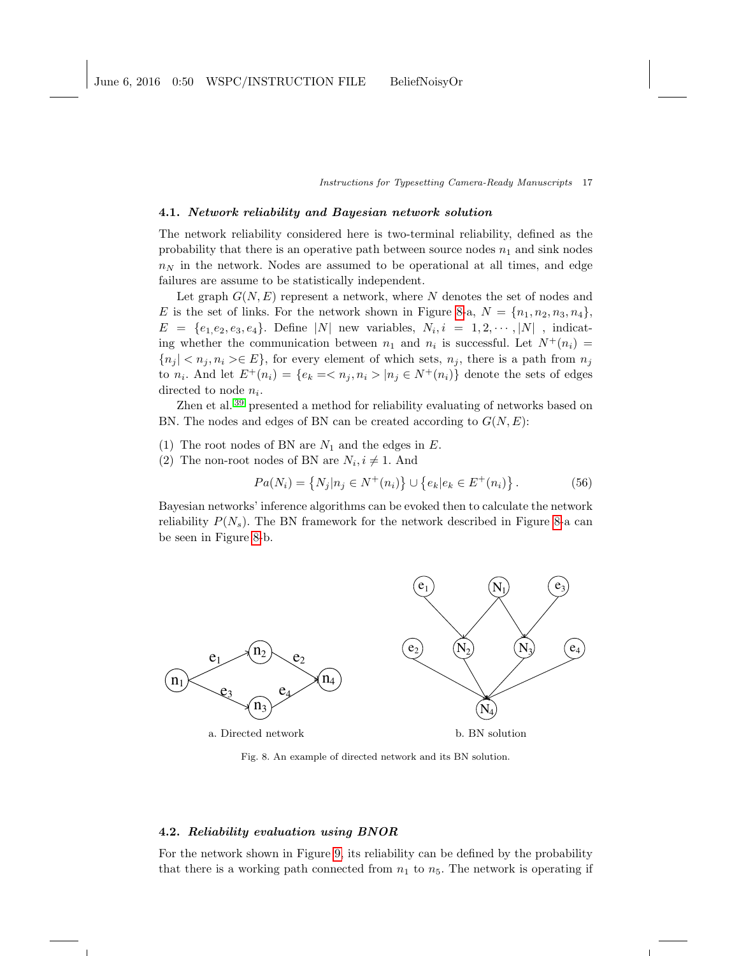#### <span id="page-16-1"></span>4.1. Network reliability and Bayesian network solution

The network reliability considered here is two-terminal reliability, defined as the probability that there is an operative path between source nodes  $n_1$  and sink nodes  $n<sub>N</sub>$  in the network. Nodes are assumed to be operational at all times, and edge failures are assume to be statistically independent.

Let graph  $G(N, E)$  represent a network, where N denotes the set of nodes and E is the set of links. For the network shown in Figure [8-](#page-16-0)a,  $N = \{n_1, n_2, n_3, n_4\}$ ,  $E = \{e_1, e_2, e_3, e_4\}.$  Define |N| new variables,  $N_i, i = 1, 2, \cdots, |N|$ , indicating whether the communication between  $n_1$  and  $n_i$  is successful. Let  $N^+(n_i)$  =  ${n_j | < n_j, n_i > \in E}$ , for every element of which sets,  $n_j$ , there is a path from  $n_j$ to  $n_i$ . And let  $E^+(n_i) = \{e_k = \langle n_j, n_i \rangle | n_j \in N^+(n_i)\}\$  denote the sets of edges directed to node  $n_i$ .

Zhen et al. [39](#page-24-15) presented a method for reliability evaluating of networks based on BN. The nodes and edges of BN can be created according to  $G(N, E)$ :

- (1) The root nodes of BN are  $N_1$  and the edges in E.
- (2) The non-root nodes of BN are  $N_i, i \neq 1$ . And

$$
Pa(N_i) = \{ N_j | n_j \in N^+(n_i) \} \cup \{ e_k | e_k \in E^+(n_i) \}.
$$
 (56)

Bayesian networks' inference algorithms can be evoked then to calculate the network reliability  $P(N_s)$ . The BN framework for the network described in Figure [8-](#page-16-0)a can be seen in Figure [8-](#page-16-0)b.



<span id="page-16-0"></span>Fig. 8. An example of directed network and its BN solution.

### 4.2. Reliability evaluation using BNOR

For the network shown in Figure [9,](#page-17-0) its reliability can be defined by the probability that there is a working path connected from  $n_1$  to  $n_5$ . The network is operating if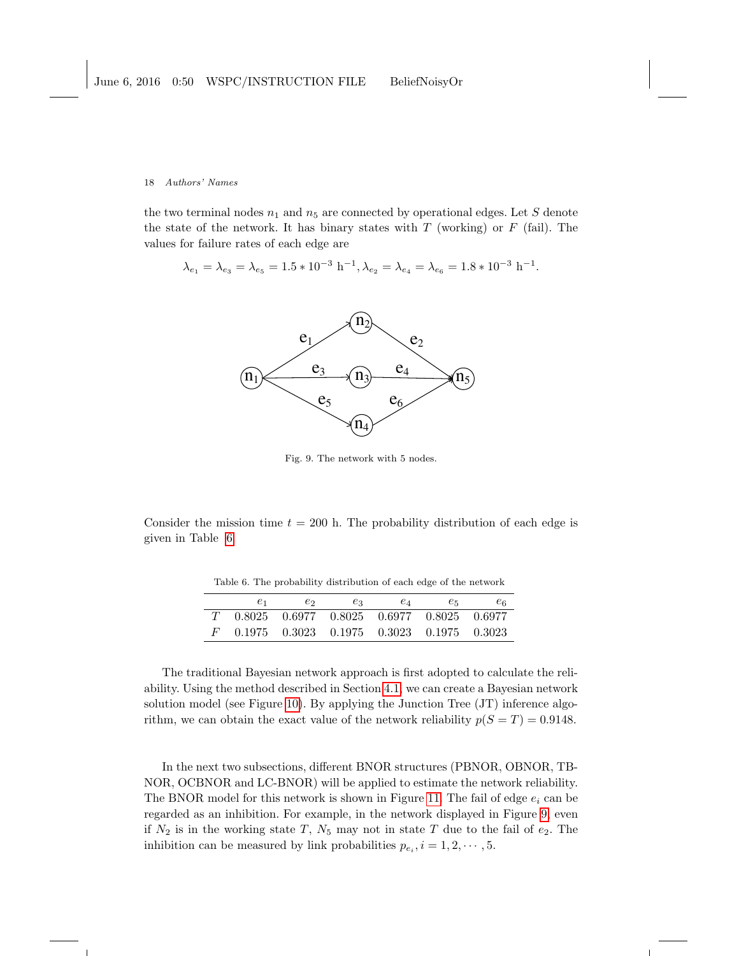the two terminal nodes  $n_1$  and  $n_5$  are connected by operational edges. Let S denote the state of the network. It has binary states with  $T$  (working) or  $F$  (fail). The values for failure rates of each edge are

$$
\lambda_{e_1} = \lambda_{e_3} = \lambda_{e_5} = 1.5 * 10^{-3} \text{ h}^{-1}, \lambda_{e_2} = \lambda_{e_4} = \lambda_{e_6} = 1.8 * 10^{-3} \text{ h}^{-1}.
$$



<span id="page-17-0"></span>Fig. 9. The network with 5 nodes.

Consider the mission time  $t = 200$  h. The probability distribution of each edge is given in Table [6.](#page-17-1)

<span id="page-17-1"></span>Table 6. The probability distribution of each edge of the network

| $e_1$ | $e_2$ | $e_3$ | $e_4$                                                     | $e_{5}$ | $e_{6}$ |
|-------|-------|-------|-----------------------------------------------------------|---------|---------|
|       |       |       | $T = 0.8025 - 0.6977 - 0.8025 - 0.6977 - 0.8025 - 0.6977$ |         |         |
|       |       |       | $0.1975$ $0.3023$ $0.1975$ $0.3023$ $0.1975$ $0.3023$     |         |         |

The traditional Bayesian network approach is first adopted to calculate the reliability. Using the method described in Section [4.1,](#page-16-1) we can create a Bayesian network solution model (see Figure [10\)](#page-18-0). By applying the Junction Tree (JT) inference algorithm, we can obtain the exact value of the network reliability  $p(S = T) = 0.9148$ .

In the next two subsections, different BNOR structures (PBNOR, OBNOR, TB-NOR, OCBNOR and LC-BNOR) will be applied to estimate the network reliability. The BNOR model for this network is shown in Figure [11.](#page-18-1) The fail of edge  $e_i$  can be regarded as an inhibition. For example, in the network displayed in Figure [9,](#page-17-0) even if  $N_2$  is in the working state T,  $N_5$  may not in state T due to the fail of  $e_2$ . The inhibition can be measured by link probabilities  $p_{e_i}, i = 1, 2, \cdots, 5$ .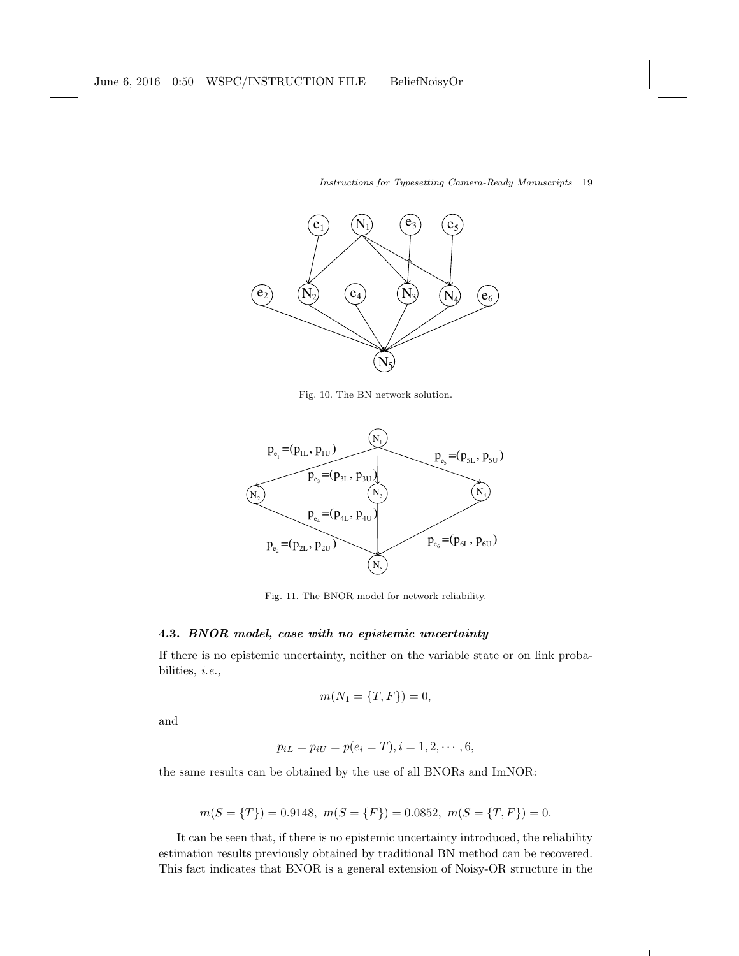

<span id="page-18-0"></span>Fig. 10. The BN network solution.



<span id="page-18-1"></span>Fig. 11. The BNOR model for network reliability.

### 4.3. BNOR model, case with no epistemic uncertainty

If there is no epistemic uncertainty, neither on the variable state or on link probabilities, i.e.,

$$
m(N_1 = \{T, F\}) = 0,
$$

and

 $\overline{1}$ 

$$
p_{iL} = p_{iU} = p(e_i = T), i = 1, 2, \cdots, 6,
$$

the same results can be obtained by the use of all BNORs and ImNOR:

$$
m(S = \{T\}) = 0.9148, \ m(S = \{F\}) = 0.0852, \ m(S = \{T, F\}) = 0.
$$

It can be seen that, if there is no epistemic uncertainty introduced, the reliability estimation results previously obtained by traditional BN method can be recovered. This fact indicates that BNOR is a general extension of Noisy-OR structure in the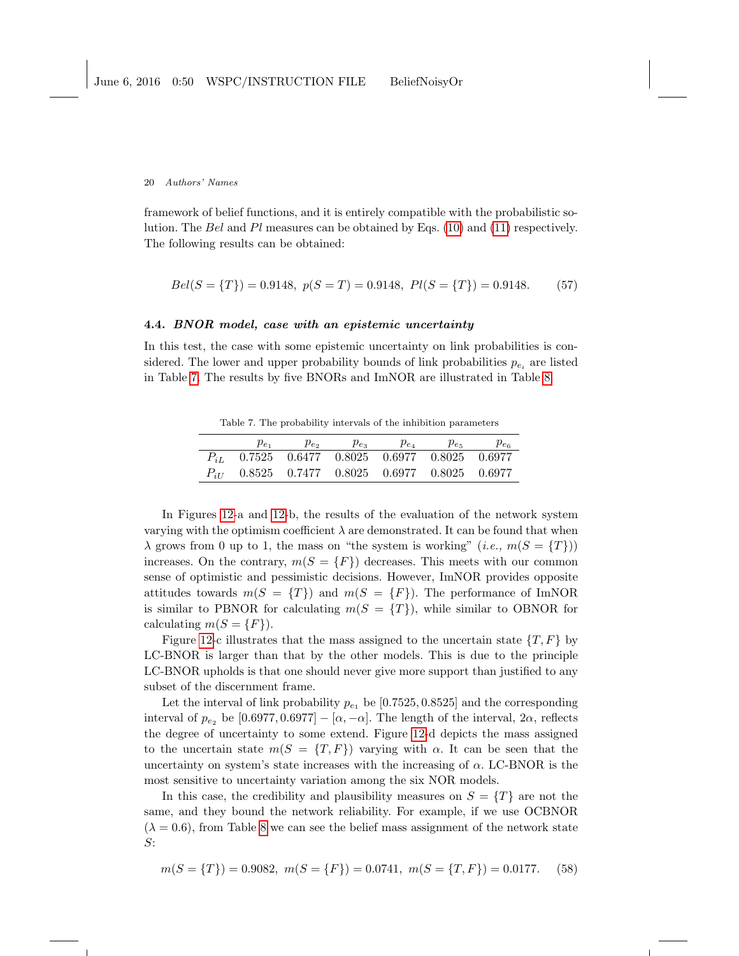framework of belief functions, and it is entirely compatible with the probabilistic solution. The Bel and Pl measures can be obtained by Eqs.  $(10)$  and  $(11)$  respectively. The following results can be obtained:

$$
Bel(S = \{T\}) = 0.9148, p(S = T) = 0.9148, Pl(S = \{T\}) = 0.9148.
$$
 (57)

## 4.4. BNOR model, case with an epistemic uncertainty

In this test, the case with some epistemic uncertainty on link probabilities is considered. The lower and upper probability bounds of link probabilities  $p_{e_i}$  are listed in Table [7.](#page-19-0) The results by five BNORs and ImNOR are illustrated in Table [8.](#page-20-0)

<span id="page-19-0"></span>Table 7. The probability intervals of the inhibition parameters

| $p_{e_1}$                                          | $\mu_{e_2}$ | $p_{e_2}$ | $p_{e_4}$ | $p_{e5}$ | $p_{e}$ |
|----------------------------------------------------|-------------|-----------|-----------|----------|---------|
| $P_{iL}$ 0.7525 0.6477 0.8025 0.6977 0.8025 0.6977 |             |           |           |          |         |
| $P_{iI}$ 0.8525 0.7477 0.8025 0.6977 0.8025 0.6977 |             |           |           |          |         |

In Figures [12-](#page-20-1)a and [12-](#page-20-1)b, the results of the evaluation of the network system varying with the optimism coefficient  $\lambda$  are demonstrated. It can be found that when  $\lambda$  grows from 0 up to 1, the mass on "the system is working" (*i.e.*,  $m(S = \{T\})$ ) increases. On the contrary,  $m(S = \{F\})$  decreases. This meets with our common sense of optimistic and pessimistic decisions. However, ImNOR provides opposite attitudes towards  $m(S = \{T\})$  and  $m(S = \{F\})$ . The performance of ImNOR is similar to PBNOR for calculating  $m(S = \{T\})$ , while similar to OBNOR for calculating  $m(S = \{F\})$ .

Figure [12-](#page-20-1)c illustrates that the mass assigned to the uncertain state  $\{T, F\}$  by LC-BNOR is larger than that by the other models. This is due to the principle LC-BNOR upholds is that one should never give more support than justified to any subset of the discernment frame.

Let the interval of link probability  $p_{e_1}$  be [0.7525, 0.8525] and the corresponding interval of  $p_{e_2}$  be [0.6977, 0.6977] – [ $\alpha$ ,  $-\alpha$ ]. The length of the interval,  $2\alpha$ , reflects the degree of uncertainty to some extend. Figure [12-](#page-20-1)d depicts the mass assigned to the uncertain state  $m(S = \{T, F\})$  varying with  $\alpha$ . It can be seen that the uncertainty on system's state increases with the increasing of  $\alpha$ . LC-BNOR is the most sensitive to uncertainty variation among the six NOR models.

In this case, the credibility and plausibility measures on  $S = \{T\}$  are not the same, and they bound the network reliability. For example, if we use OCBNOR  $(\lambda = 0.6)$ , from Table [8](#page-20-0) we can see the belief mass assignment of the network state S:

$$
m(S = \{T\}) = 0.9082, \ m(S = \{F\}) = 0.0741, \ m(S = \{T, F\}) = 0.0177. \tag{58}
$$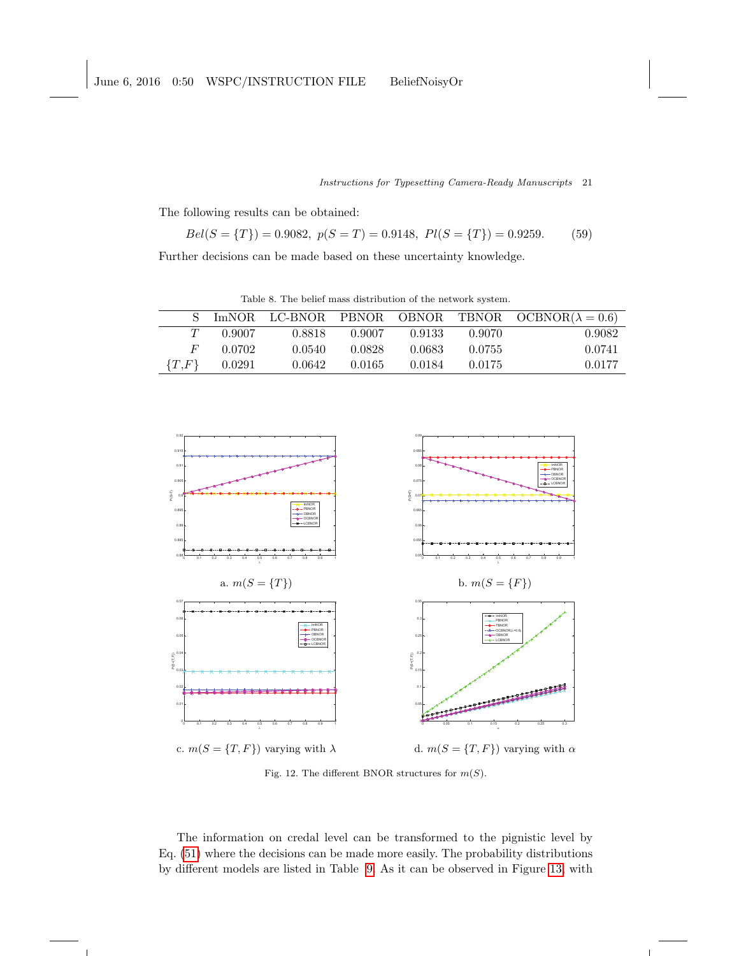The following results can be obtained:

$$
Bel(S = \{T\}) = 0.9082, \ p(S = T) = 0.9148, \ Pl(S = \{T\}) = 0.9259. \tag{59}
$$

Further decisions can be made based on these uncertainty knowledge.

<span id="page-20-0"></span>Table 8. The belief mass distribution of the network system.

|           |        |        |        |        |        | ImNOR LC-BNOR PBNOR OBNOR TBNOR OCBNOR( $\lambda = 0.6$ ) |
|-----------|--------|--------|--------|--------|--------|-----------------------------------------------------------|
| T         | 0.9007 | 0.8818 | 0.9007 | 0.9133 | 0.9070 | 0.9082                                                    |
| $H^+$     | 0.0702 | 0.0540 | 0.0828 | 0.0683 | 0.0755 | 0.0741                                                    |
| $\{T,F\}$ | 0.0291 | 0.0642 | 0.0165 | 0.0184 | 0.0175 | 0.0177                                                    |



<span id="page-20-1"></span>Fig. 12. The different BNOR structures for  $m(S)$ .

The information on credal level can be transformed to the pignistic level by Eq. [\(51\)](#page-11-1) where the decisions can be made more easily. The probability distributions by different models are listed in Table [9.](#page-21-0) As it can be observed in Figure [13,](#page-21-1) with

 $\overline{1}$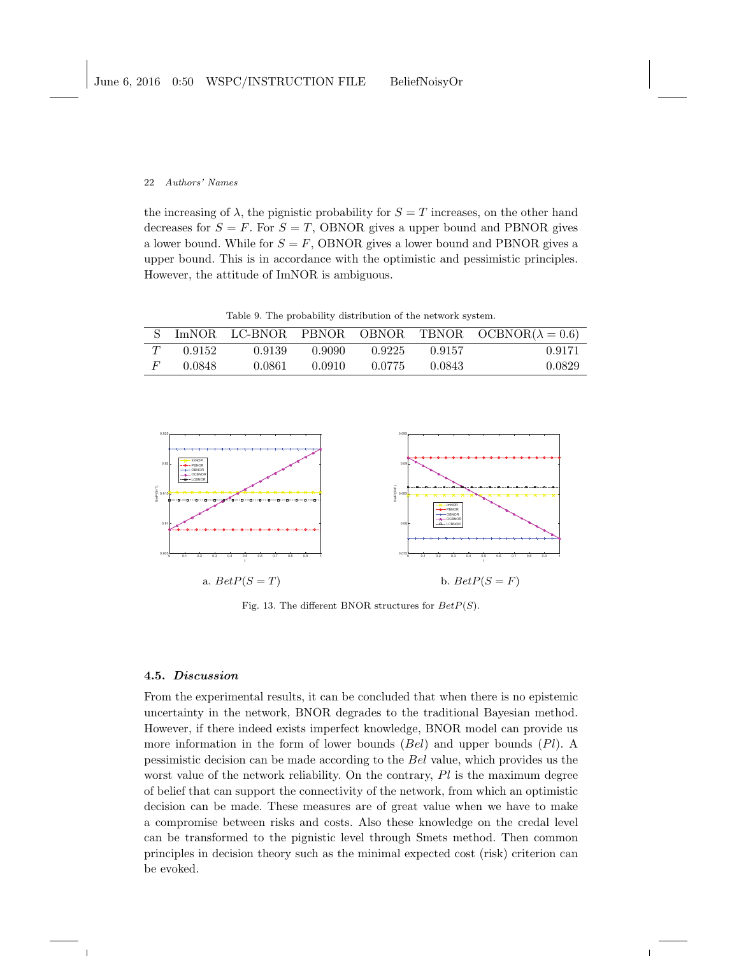the increasing of  $\lambda$ , the pignistic probability for  $S = T$  increases, on the other hand decreases for  $S = F$ . For  $S = T$ , OBNOR gives a upper bound and PBNOR gives a lower bound. While for  $S = F$ , OBNOR gives a lower bound and PBNOR gives a upper bound. This is in accordance with the optimistic and pessimistic principles. However, the attitude of ImNOR is ambiguous.

<span id="page-21-0"></span>Table 9. The probability distribution of the network system.

|        |        |        |        |        | ImNOR LC-BNOR PBNOR OBNOR TBNOR OCBNOR( $\lambda = 0.6$ ) |
|--------|--------|--------|--------|--------|-----------------------------------------------------------|
| 0.9152 | 0.9139 | 0.9090 | 0.9225 | 0.9157 | 0.9171                                                    |
| 0.0848 | 0.0861 | 0.0910 | 0.0775 | 0.0843 | 0.0829                                                    |



<span id="page-21-1"></span>Fig. 13. The different BNOR structures for  $BetP(S)$ .

## 4.5. Discussion

From the experimental results, it can be concluded that when there is no epistemic uncertainty in the network, BNOR degrades to the traditional Bayesian method. However, if there indeed exists imperfect knowledge, BNOR model can provide us more information in the form of lower bounds  $(Bel)$  and upper bounds  $(Pl)$ . A pessimistic decision can be made according to the Bel value, which provides us the worst value of the network reliability. On the contrary,  $Pl$  is the maximum degree of belief that can support the connectivity of the network, from which an optimistic decision can be made. These measures are of great value when we have to make a compromise between risks and costs. Also these knowledge on the credal level can be transformed to the pignistic level through Smets method. Then common principles in decision theory such as the minimal expected cost (risk) criterion can be evoked.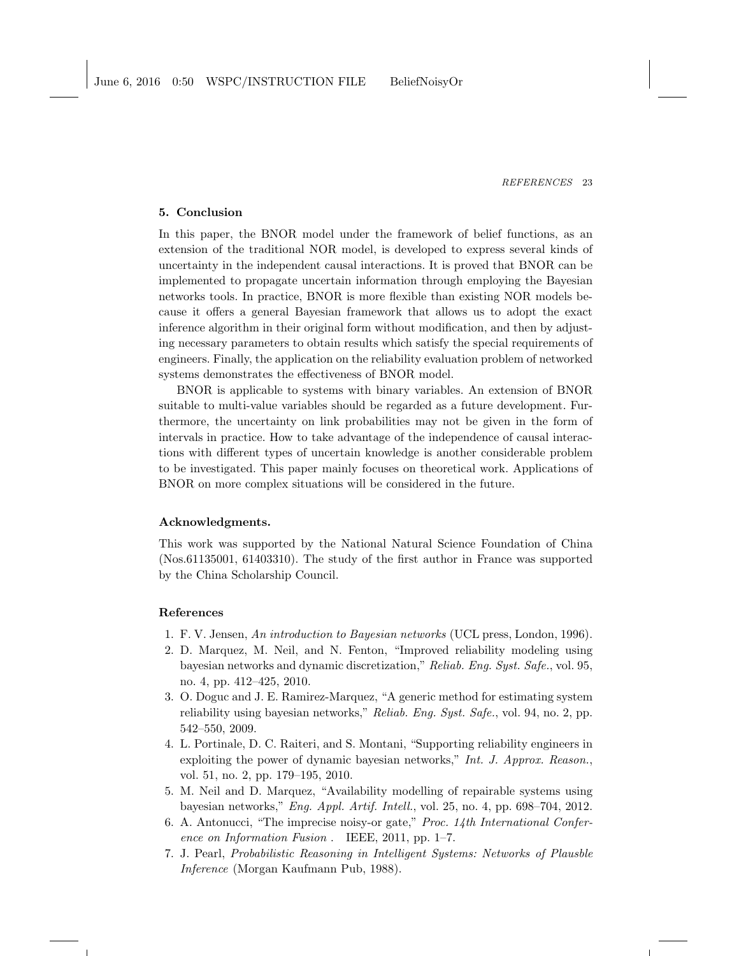## 5. Conclusion

In this paper, the BNOR model under the framework of belief functions, as an extension of the traditional NOR model, is developed to express several kinds of uncertainty in the independent causal interactions. It is proved that BNOR can be implemented to propagate uncertain information through employing the Bayesian networks tools. In practice, BNOR is more flexible than existing NOR models because it offers a general Bayesian framework that allows us to adopt the exact inference algorithm in their original form without modification, and then by adjusting necessary parameters to obtain results which satisfy the special requirements of engineers. Finally, the application on the reliability evaluation problem of networked systems demonstrates the effectiveness of BNOR model.

BNOR is applicable to systems with binary variables. An extension of BNOR suitable to multi-value variables should be regarded as a future development. Furthermore, the uncertainty on link probabilities may not be given in the form of intervals in practice. How to take advantage of the independence of causal interactions with different types of uncertain knowledge is another considerable problem to be investigated. This paper mainly focuses on theoretical work. Applications of BNOR on more complex situations will be considered in the future.

#### Acknowledgments.

This work was supported by the National Natural Science Foundation of China (Nos.61135001, 61403310). The study of the first author in France was supported by the China Scholarship Council.

## References

- <span id="page-22-0"></span>1. F. V. Jensen, An introduction to Bayesian networks (UCL press, London, 1996).
- <span id="page-22-1"></span>2. D. Marquez, M. Neil, and N. Fenton, "Improved reliability modeling using bayesian networks and dynamic discretization," Reliab. Eng. Syst. Safe., vol. 95, no. 4, pp. 412–425, 2010.
- 3. O. Doguc and J. E. Ramirez-Marquez, "A generic method for estimating system reliability using bayesian networks," Reliab. Eng. Syst. Safe., vol. 94, no. 2, pp. 542–550, 2009.
- 4. L. Portinale, D. C. Raiteri, and S. Montani, "Supporting reliability engineers in exploiting the power of dynamic bayesian networks," Int. J. Approx. Reason., vol. 51, no. 2, pp. 179–195, 2010.
- <span id="page-22-2"></span>5. M. Neil and D. Marquez, "Availability modelling of repairable systems using bayesian networks," Eng. Appl. Artif. Intell., vol. 25, no. 4, pp. 698–704, 2012.
- <span id="page-22-3"></span>6. A. Antonucci, "The imprecise noisy-or gate," Proc. 14th International Conference on Information Fusion . IEEE, 2011, pp. 1–7.
- <span id="page-22-4"></span>7. J. Pearl, Probabilistic Reasoning in Intelligent Systems: Networks of Plausble Inference (Morgan Kaufmann Pub, 1988).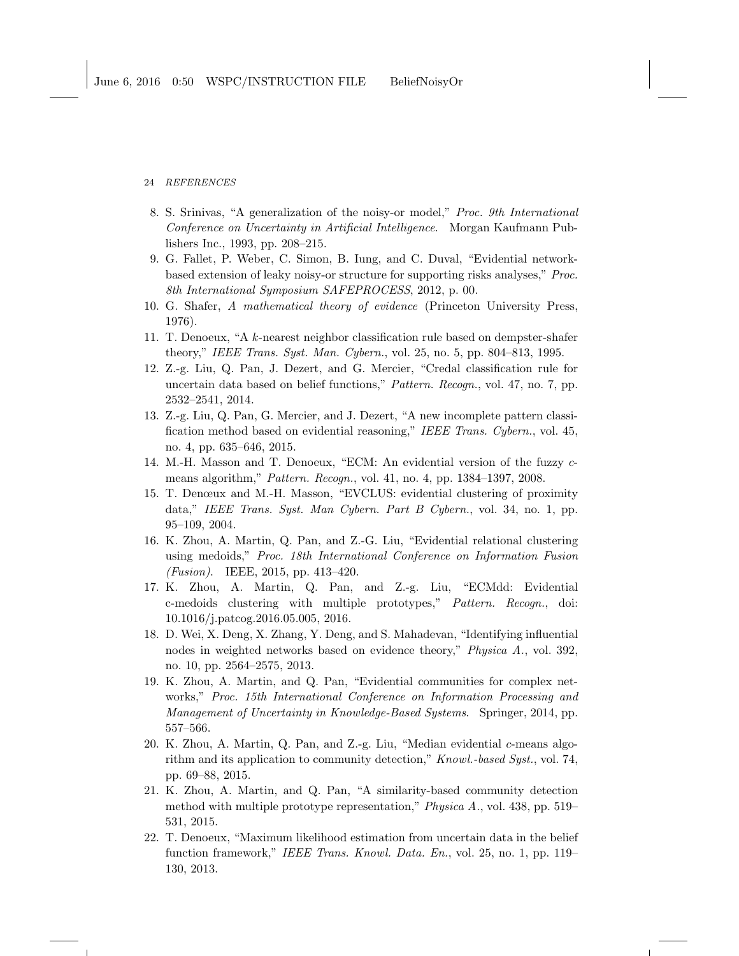- <span id="page-23-0"></span>8. S. Srinivas, "A generalization of the noisy-or model," Proc. 9th International Conference on Uncertainty in Artificial Intelligence. Morgan Kaufmann Publishers Inc., 1993, pp. 208–215.
- <span id="page-23-1"></span>9. G. Fallet, P. Weber, C. Simon, B. Iung, and C. Duval, "Evidential networkbased extension of leaky noisy-or structure for supporting risks analyses," Proc. 8th International Symposium SAFEPROCESS, 2012, p. 00.
- <span id="page-23-2"></span>10. G. Shafer, A mathematical theory of evidence (Princeton University Press, 1976).
- <span id="page-23-3"></span>11. T. Denoeux, "A k-nearest neighbor classification rule based on dempster-shafer theory," IEEE Trans. Syst. Man. Cybern., vol. 25, no. 5, pp. 804–813, 1995.
- 12. Z.-g. Liu, Q. Pan, J. Dezert, and G. Mercier, "Credal classification rule for uncertain data based on belief functions," Pattern. Recogn., vol. 47, no. 7, pp. 2532–2541, 2014.
- <span id="page-23-4"></span>13. Z.-g. Liu, Q. Pan, G. Mercier, and J. Dezert, "A new incomplete pattern classification method based on evidential reasoning," IEEE Trans. Cybern., vol. 45, no. 4, pp. 635–646, 2015.
- <span id="page-23-5"></span>14. M.-H. Masson and T. Denoeux, "ECM: An evidential version of the fuzzy cmeans algorithm," Pattern. Recogn., vol. 41, no. 4, pp. 1384–1397, 2008.
- 15. T. Denœux and M.-H. Masson, "EVCLUS: evidential clustering of proximity data," IEEE Trans. Syst. Man Cybern. Part B Cybern., vol. 34, no. 1, pp. 95–109, 2004.
- 16. K. Zhou, A. Martin, Q. Pan, and Z.-G. Liu, "Evidential relational clustering using medoids," Proc. 18th International Conference on Information Fusion (Fusion). IEEE, 2015, pp. 413–420.
- <span id="page-23-6"></span>17. K. Zhou, A. Martin, Q. Pan, and Z.-g. Liu, "ECMdd: Evidential c-medoids clustering with multiple prototypes," Pattern. Recogn., doi: 10.1016/j.patcog.2016.05.005, 2016.
- <span id="page-23-7"></span>18. D. Wei, X. Deng, X. Zhang, Y. Deng, and S. Mahadevan, "Identifying influential nodes in weighted networks based on evidence theory," Physica A., vol. 392, no. 10, pp. 2564–2575, 2013.
- 19. K. Zhou, A. Martin, and Q. Pan, "Evidential communities for complex networks," Proc. 15th International Conference on Information Processing and Management of Uncertainty in Knowledge-Based Systems. Springer, 2014, pp. 557–566.
- 20. K. Zhou, A. Martin, Q. Pan, and Z.-g. Liu, "Median evidential c-means algorithm and its application to community detection," Knowl.-based Syst., vol. 74, pp. 69–88, 2015.
- <span id="page-23-8"></span>21. K. Zhou, A. Martin, and Q. Pan, "A similarity-based community detection method with multiple prototype representation," Physica A., vol. 438, pp. 519– 531, 2015.
- <span id="page-23-9"></span>22. T. Denoeux, "Maximum likelihood estimation from uncertain data in the belief function framework," IEEE Trans. Knowl. Data. En., vol. 25, no. 1, pp. 119– 130, 2013.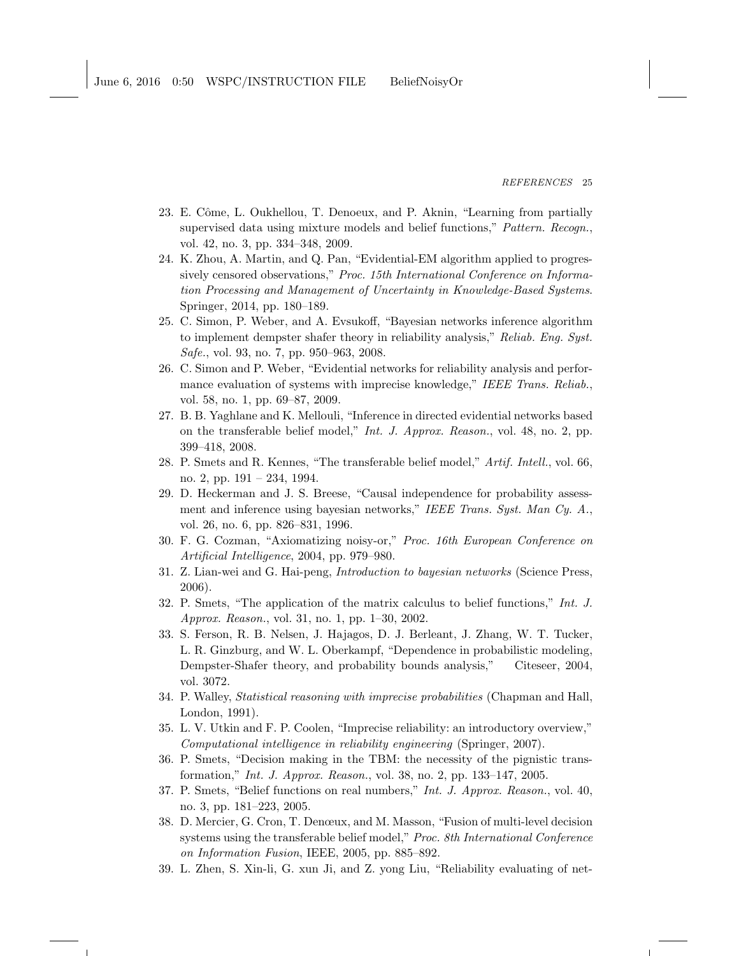- 23. E. Côme, L. Oukhellou, T. Denoeux, and P. Aknin, "Learning from partially supervised data using mixture models and belief functions," Pattern. Recogn., vol. 42, no. 3, pp. 334–348, 2009.
- <span id="page-24-0"></span>24. K. Zhou, A. Martin, and Q. Pan, "Evidential-EM algorithm applied to progressively censored observations," Proc. 15th International Conference on Information Processing and Management of Uncertainty in Knowledge-Based Systems. Springer, 2014, pp. 180–189.
- <span id="page-24-1"></span>25. C. Simon, P. Weber, and A. Evsukoff, "Bayesian networks inference algorithm to implement dempster shafer theory in reliability analysis," Reliab. Eng. Syst. Safe., vol. 93, no. 7, pp. 950–963, 2008.
- <span id="page-24-2"></span>26. C. Simon and P. Weber, "Evidential networks for reliability analysis and performance evaluation of systems with imprecise knowledge," IEEE Trans. Reliab., vol. 58, no. 1, pp. 69–87, 2009.
- <span id="page-24-3"></span>27. B. B. Yaghlane and K. Mellouli, "Inference in directed evidential networks based on the transferable belief model," Int. J. Approx. Reason., vol. 48, no. 2, pp. 399–418, 2008.
- <span id="page-24-4"></span>28. P. Smets and R. Kennes, "The transferable belief model," Artif. Intell., vol. 66, no. 2, pp. 191 – 234, 1994.
- <span id="page-24-5"></span>29. D. Heckerman and J. S. Breese, "Causal independence for probability assessment and inference using bayesian networks," IEEE Trans. Syst. Man Cy. A., vol. 26, no. 6, pp. 826–831, 1996.
- <span id="page-24-6"></span>30. F. G. Cozman, "Axiomatizing noisy-or," Proc. 16th European Conference on Artificial Intelligence, 2004, pp. 979–980.
- <span id="page-24-7"></span>31. Z. Lian-wei and G. Hai-peng, Introduction to bayesian networks (Science Press, 2006).
- <span id="page-24-8"></span>32. P. Smets, "The application of the matrix calculus to belief functions," Int. J. Approx. Reason., vol. 31, no. 1, pp. 1–30, 2002.
- <span id="page-24-9"></span>33. S. Ferson, R. B. Nelsen, J. Hajagos, D. J. Berleant, J. Zhang, W. T. Tucker, L. R. Ginzburg, and W. L. Oberkampf, "Dependence in probabilistic modeling, Dempster-Shafer theory, and probability bounds analysis," Citeseer, 2004, vol. 3072.
- <span id="page-24-10"></span>34. P. Walley, Statistical reasoning with imprecise probabilities (Chapman and Hall, London, 1991).
- <span id="page-24-12"></span>35. L. V. Utkin and F. P. Coolen, "Imprecise reliability: an introductory overview," Computational intelligence in reliability engineering (Springer, 2007).
- <span id="page-24-11"></span>36. P. Smets, "Decision making in the TBM: the necessity of the pignistic transformation," Int. J. Approx. Reason., vol. 38, no. 2, pp. 133–147, 2005.
- <span id="page-24-13"></span>37. P. Smets, "Belief functions on real numbers," Int. J. Approx. Reason., vol. 40, no. 3, pp. 181–223, 2005.
- <span id="page-24-14"></span>38. D. Mercier, G. Cron, T. Denœux, and M. Masson, "Fusion of multi-level decision systems using the transferable belief model," Proc. 8th International Conference on Information Fusion, IEEE, 2005, pp. 885–892.
- <span id="page-24-15"></span>39. L. Zhen, S. Xin-li, G. xun Ji, and Z. yong Liu, "Reliability evaluating of net-